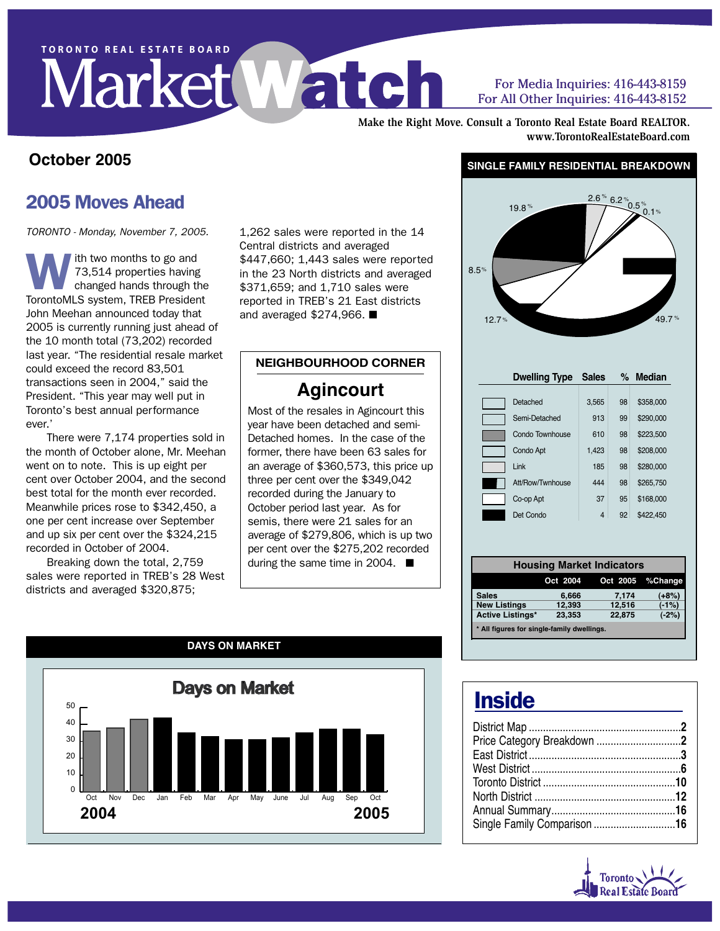# TORONTO REAL ESTATE BOARD

#### For Media Inquiries: 416-443-8159 For All Other Inquiries: 416-443-8152

**Make the Right Move. Consult a Toronto Real Estate Board REALTOR. www.TorontoRealEstateBoard.com**

#### **October 2005**

## 2005 Moves Ahead

TORONTO - Monday, November 7, 2005.

ith two months to go and 73,514 properties having changed hands through the TorontoMLS system, TREB President John Meehan announced today that 2005 is currently running just ahead of the 10 month total (73,202) recorded last year. "The residential resale market could exceed the record 83,501 transactions seen in 2004," said the President. "This year may well put in Toronto's best annual performance ever.'

There were 7,174 properties sold in the month of October alone, Mr. Meehan went on to note. This is up eight per cent over October 2004, and the second best total for the month ever recorded. Meanwhile prices rose to \$342,450, a one per cent increase over September and up six per cent over the \$324,215 recorded in October of 2004.

Breaking down the total, 2,759 sales were reported in TREB's 28 West districts and averaged \$320,875;

1,262 sales were reported in the 14 Central districts and averaged \$447,660; 1,443 sales were reported in the 23 North districts and averaged \$371,659; and 1,710 sales were reported in TREB's 21 East districts and averaged \$274,966. ■

#### **NEIGHBOURHOOD CORNER**

### **Agincourt**

Most of the resales in Agincourt this year have been detached and semi-Detached homes. In the case of the former, there have been 63 sales for an average of \$360,573, this price up three per cent over the \$349,042 recorded during the January to October period last year. As for semis, there were 21 sales for an average of \$279,806, which is up two per cent over the \$275,202 recorded during the same time in 2004. ■



#### **SINGLE FAMILY RESIDENTIAL BREAKDOWN**



|                                            |          | <b>Housing Market Indicators</b> |                  |  |  |  |  |  |  |
|--------------------------------------------|----------|----------------------------------|------------------|--|--|--|--|--|--|
|                                            | Oct 2004 |                                  | Oct 2005 %Change |  |  |  |  |  |  |
| <b>Sales</b>                               | 6,666    | 7,174                            | (+8%)            |  |  |  |  |  |  |
| <b>New Listings</b>                        | 12,393   | 12,516                           | $(-1%)$          |  |  |  |  |  |  |
| <b>Active Listings*</b>                    | 23,353   | 22,875                           | $(-2%)$          |  |  |  |  |  |  |
| * All figures for single-family dwellings. |          |                                  |                  |  |  |  |  |  |  |

# **Inside**

| Single Family Comparison 16 |  |
|-----------------------------|--|
|                             |  |

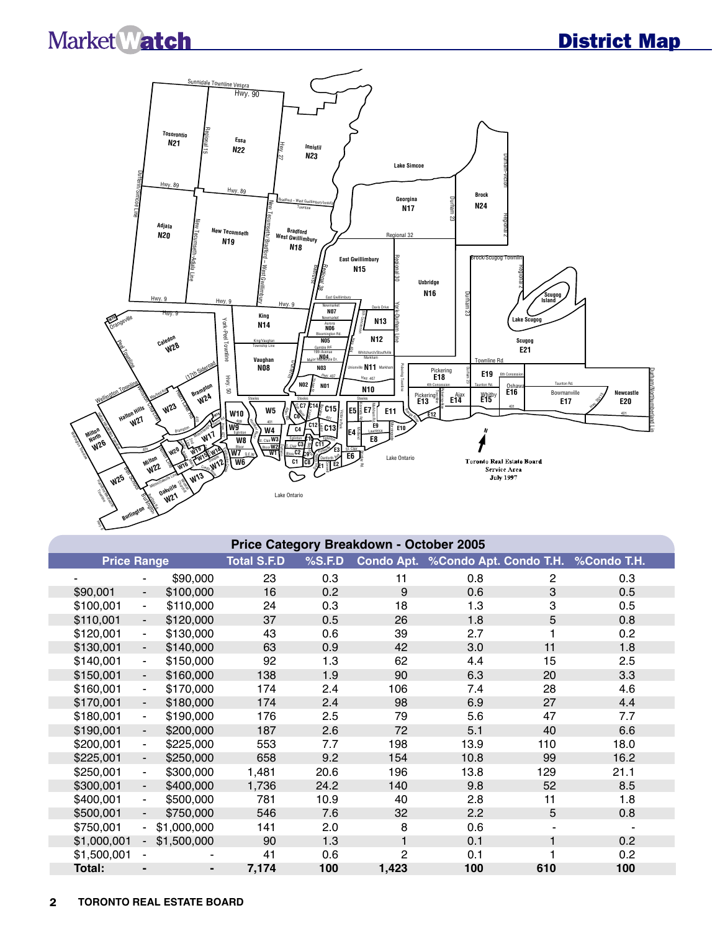$\mathbb{R}^2$ 



|                    | Price Category Breakdown - October 2005 |                |                    |        |                |                                               |     |      |  |  |  |  |
|--------------------|-----------------------------------------|----------------|--------------------|--------|----------------|-----------------------------------------------|-----|------|--|--|--|--|
| <b>Price Range</b> |                                         |                | <b>Total S.F.D</b> | %S.F.D |                | Condo Apt. %Condo Apt. Condo T.H. %Condo T.H. |     |      |  |  |  |  |
|                    | $\overline{\phantom{0}}$                | \$90,000       | 23                 | 0.3    | 11             | 0.8                                           | 2   | 0.3  |  |  |  |  |
| \$90,001           | $\overline{\phantom{a}}$                | \$100,000      | 16                 | 0.2    | 9              | 0.6                                           | 3   | 0.5  |  |  |  |  |
| \$100,001          | $\overline{\phantom{a}}$                | \$110,000      | 24                 | 0.3    | 18             | 1.3                                           | 3   | 0.5  |  |  |  |  |
| \$110,001          | $\blacksquare$                          | \$120,000      | 37                 | 0.5    | 26             | 1.8                                           | 5   | 0.8  |  |  |  |  |
| \$120,001          | $\overline{\phantom{a}}$                | \$130,000      | 43                 | 0.6    | 39             | 2.7                                           |     | 0.2  |  |  |  |  |
| \$130,001          | $\blacksquare$                          | \$140,000      | 63                 | 0.9    | 42             | 3.0                                           | 11  | 1.8  |  |  |  |  |
| \$140,001          | $\blacksquare$                          | \$150,000      | 92                 | 1.3    | 62             | 4.4                                           | 15  | 2.5  |  |  |  |  |
| \$150,001          | $\overline{\phantom{a}}$                | \$160,000      | 138                | 1.9    | 90             | 6.3                                           | 20  | 3.3  |  |  |  |  |
| \$160,001          | $\overline{\phantom{a}}$                | \$170,000      | 174                | 2.4    | 106            | 7.4                                           | 28  | 4.6  |  |  |  |  |
| \$170,001          | $\overline{\phantom{a}}$                | \$180,000      | 174                | 2.4    | 98             | 6.9                                           | 27  | 4.4  |  |  |  |  |
| \$180,001          | $\overline{\phantom{a}}$                | \$190,000      | 176                | 2.5    | 79             | 5.6                                           | 47  | 7.7  |  |  |  |  |
| \$190,001          | $\blacksquare$                          | \$200,000      | 187                | 2.6    | 72             | 5.1                                           | 40  | 6.6  |  |  |  |  |
| \$200,001          | $\overline{\phantom{a}}$                | \$225,000      | 553                | 7.7    | 198            | 13.9                                          | 110 | 18.0 |  |  |  |  |
| \$225,001          | $\overline{\phantom{a}}$                | \$250,000      | 658                | 9.2    | 154            | 10.8                                          | 99  | 16.2 |  |  |  |  |
| \$250,001          | $\overline{\phantom{a}}$                | \$300,000      | 1,481              | 20.6   | 196            | 13.8                                          | 129 | 21.1 |  |  |  |  |
| \$300,001          | $\overline{\phantom{a}}$                | \$400,000      | 1,736              | 24.2   | 140            | 9.8                                           | 52  | 8.5  |  |  |  |  |
| \$400,001          | $\overline{\phantom{a}}$                | \$500,000      | 781                | 10.9   | 40             | 2.8                                           | 11  | 1.8  |  |  |  |  |
| \$500,001          | $\overline{\phantom{0}}$                | \$750,000      | 546                | 7.6    | 32             | 2.2                                           | 5   | 0.8  |  |  |  |  |
| \$750,001          | $\overline{\phantom{0}}$                | \$1,000,000    | 141                | 2.0    | 8              | 0.6                                           |     |      |  |  |  |  |
| \$1,000,001        | $\sim$                                  | \$1,500,000    | 90                 | 1.3    | $\mathbf{1}$   | 0.1                                           | 1   | 0.2  |  |  |  |  |
| \$1,500,001        | $\blacksquare$                          |                | 41                 | 0.6    | $\overline{c}$ | 0.1                                           |     | 0.2  |  |  |  |  |
| Total:             |                                         | $\blacksquare$ | 7,174              | 100    | 1,423          | 100                                           | 610 | 100  |  |  |  |  |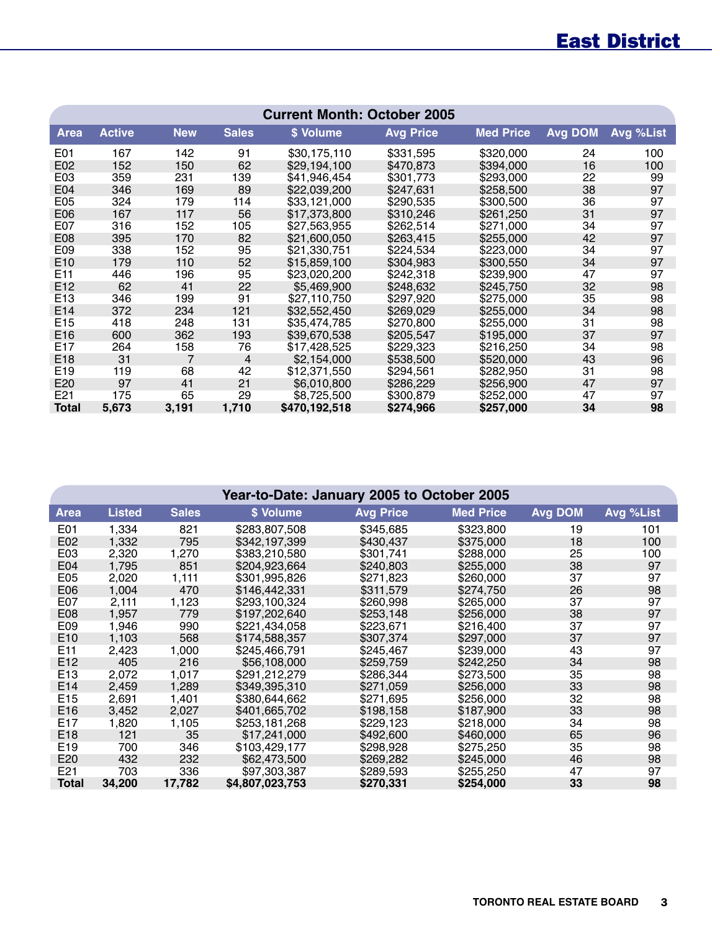# East District

|                  | <b>Current Month: October 2005</b> |            |                |               |                  |                  |                |           |  |  |  |  |  |
|------------------|------------------------------------|------------|----------------|---------------|------------------|------------------|----------------|-----------|--|--|--|--|--|
| <b>Area</b>      | <b>Active</b>                      | <b>New</b> | <b>Sales</b>   | \$ Volume     | <b>Avg Price</b> | <b>Med Price</b> | <b>Avg DOM</b> | Avg %List |  |  |  |  |  |
| E <sub>0</sub> 1 | 167                                | 142        | 91             | \$30,175,110  | \$331,595        | \$320,000        | 24             | 100       |  |  |  |  |  |
| E02              | 152                                | 150        | 62             | \$29,194,100  | \$470,873        | \$394,000        | 16             | 100       |  |  |  |  |  |
| E <sub>03</sub>  | 359                                | 231        | 139            | \$41,946,454  | \$301,773        | \$293,000        | 22             | 99        |  |  |  |  |  |
| E04              | 346                                | 169        | 89             | \$22,039,200  | \$247.631        | \$258,500        | 38             | 97        |  |  |  |  |  |
| E <sub>05</sub>  | 324                                | 179        | 114            | \$33,121,000  | \$290,535        | \$300,500        | 36             | 97        |  |  |  |  |  |
| E06              | 167                                | 117        | 56             | \$17,373,800  | \$310,246        | \$261,250        | 31             | 97        |  |  |  |  |  |
| E07              | 316                                | 152        | 105            | \$27,563,955  | \$262,514        | \$271,000        | 34             | 97        |  |  |  |  |  |
| E08              | 395                                | 170        | 82             | \$21,600,050  | \$263,415        | \$255,000        | 42             | 97        |  |  |  |  |  |
| E09              | 338                                | 152        | 95             | \$21,330,751  | \$224,534        | \$223,000        | 34             | 97        |  |  |  |  |  |
| E10              | 179                                | 110        | 52             | \$15,859,100  | \$304,983        | \$300,550        | 34             | 97        |  |  |  |  |  |
| E <sub>11</sub>  | 446                                | 196        | 95             | \$23,020,200  | \$242,318        | \$239,900        | 47             | 97        |  |  |  |  |  |
| E <sub>12</sub>  | 62                                 | 41         | 22             | \$5,469,900   | \$248,632        | \$245,750        | 32             | 98        |  |  |  |  |  |
| E <sub>13</sub>  | 346                                | 199        | 91             | \$27,110,750  | \$297,920        | \$275,000        | 35             | 98        |  |  |  |  |  |
| E14              | 372                                | 234        | 121            | \$32,552,450  | \$269,029        | \$255,000        | 34             | 98        |  |  |  |  |  |
| E <sub>15</sub>  | 418                                | 248        | 131            | \$35,474,785  | \$270,800        | \$255,000        | 31             | 98        |  |  |  |  |  |
| E16              | 600                                | 362        | 193            | \$39,670,538  | \$205,547        | \$195,000        | 37             | 97        |  |  |  |  |  |
| E17              | 264                                | 158        | 76             | \$17,428,525  | \$229,323        | \$216,250        | 34             | 98        |  |  |  |  |  |
| E18              | 31                                 | 7          | $\overline{4}$ | \$2,154,000   | \$538,500        | \$520,000        | 43             | 96        |  |  |  |  |  |
| E <sub>19</sub>  | 119                                | 68         | 42             | \$12,371,550  | \$294,561        | \$282,950        | 31             | 98        |  |  |  |  |  |
| E20              | 97                                 | 41         | 21             | \$6,010,800   | \$286,229        | \$256,900        | 47             | 97        |  |  |  |  |  |
| E21              | 175                                | 65         | 29             | \$8,725,500   | \$300,879        | \$252,000        | 47             | 97        |  |  |  |  |  |
| <b>Total</b>     | 5,673                              | 3,191      | 1,710          | \$470,192,518 | \$274,966        | \$257,000        | 34             | 98        |  |  |  |  |  |

|                 |               |              | Year-to-Date: January 2005 to October 2005 |                  |                  |                |           |
|-----------------|---------------|--------------|--------------------------------------------|------------------|------------------|----------------|-----------|
| <b>Area</b>     | <b>Listed</b> | <b>Sales</b> | \$ Volume                                  | <b>Avg Price</b> | <b>Med Price</b> | <b>Avg DOM</b> | Avg %List |
| E01             | 1,334         | 821          | \$283,807,508                              | \$345,685        | \$323,800        | 19             | 101       |
| E02             | 1,332         | 795          | \$342,197,399                              | \$430,437        | \$375,000        | 18             | 100       |
| E03             | 2,320         | 1,270        | \$383,210,580                              | \$301,741        | \$288,000        | 25             | 100       |
| E04             | 1,795         | 851          | \$204.923.664                              | \$240,803        | \$255,000        | 38             | 97        |
| E05             | 2,020         | 1,111        | \$301,995,826                              | \$271,823        | \$260,000        | 37             | 97        |
| E06             | 1,004         | 470          | \$146,442,331                              | \$311,579        | \$274,750        | 26             | 98        |
| E07             | 2,111         | 1,123        | \$293,100,324                              | \$260,998        | \$265,000        | 37             | 97        |
| E08             | 1,957         | 779          | \$197,202,640                              | \$253,148        | \$256,000        | 38             | 97        |
| E09             | 1,946         | 990          | \$221,434,058                              | \$223,671        | \$216,400        | 37             | 97        |
| E <sub>10</sub> | 1,103         | 568          | \$174,588,357                              | \$307,374        | \$297,000        | 37             | 97        |
| E11             | 2,423         | 1,000        | \$245,466,791                              | \$245,467        | \$239,000        | 43             | 97        |
| E12             | 405           | 216          | \$56,108,000                               | \$259,759        | \$242,250        | 34             | 98        |
| E <sub>13</sub> | 2,072         | 1,017        | \$291,212,279                              | \$286,344        | \$273,500        | 35             | 98        |
| E14             | 2,459         | 1,289        | \$349,395,310                              | \$271,059        | \$256,000        | 33             | 98        |
| E <sub>15</sub> | 2,691         | 1,401        | \$380,644,662                              | \$271,695        | \$256,000        | 32             | 98        |
| E <sub>16</sub> | 3,452         | 2,027        | \$401,665,702                              | \$198,158        | \$187,900        | 33             | 98        |
| E17             | 1,820         | 1,105        | \$253,181,268                              | \$229,123        | \$218,000        | 34             | 98        |
| E <sub>18</sub> | 121           | 35           | \$17,241,000                               | \$492,600        | \$460,000        | 65             | 96        |
| E <sub>19</sub> | 700           | 346          | \$103,429,177                              | \$298,928        | \$275,250        | 35             | 98        |
| E20             | 432           | 232          | \$62,473,500                               | \$269,282        | \$245,000        | 46             | 98        |
| E21             | 703           | 336          | \$97,303,387                               | \$289,593        | \$255,250        | 47             | 97        |
| <b>Total</b>    | 34,200        | 17,782       | \$4,807,023,753                            | \$270,331        | \$254,000        | 33             | 98        |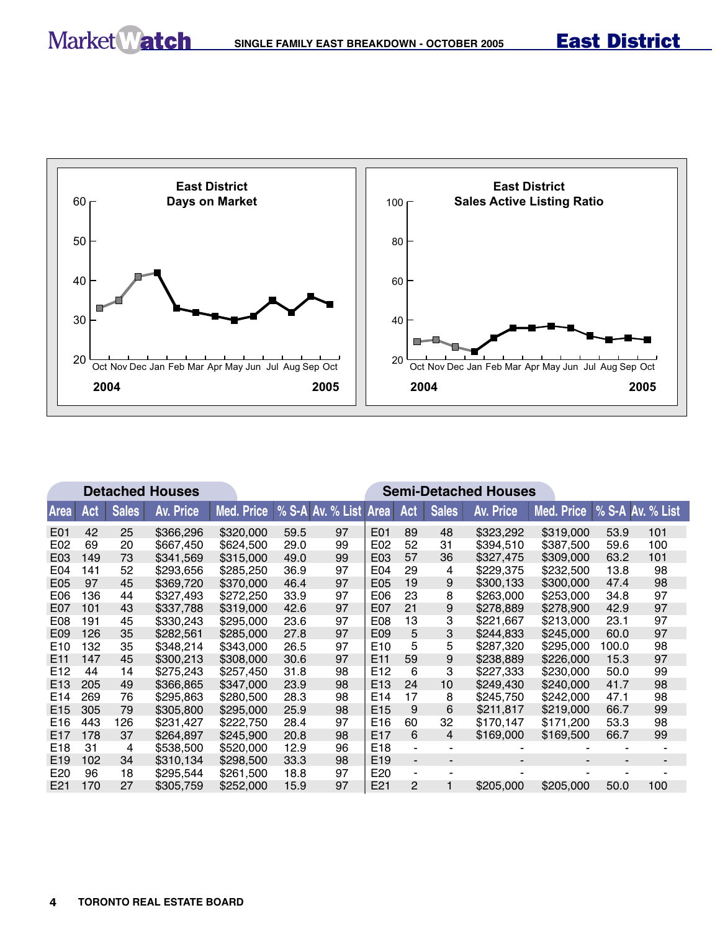

|                  |     |              | <b>Detached Houses</b> |            | <b>Semi-Detached Houses</b> |                       |                 |                          |                          |                  |                             |       |     |
|------------------|-----|--------------|------------------------|------------|-----------------------------|-----------------------|-----------------|--------------------------|--------------------------|------------------|-----------------------------|-------|-----|
| Area             | Act | <b>Sales</b> | Av. Price              | Med. Price |                             | % S-A Av. % List Area |                 | Act                      | <b>Sales</b>             | <b>Av. Price</b> | Med. Price % S-A Av. % List |       |     |
| E01              | 42  | 25           | \$366,296              | \$320,000  | 59.5                        | 97                    | E01             | 89                       | 48                       | \$323,292        | \$319,000                   | 53.9  | 101 |
| E02              | 69  | 20           | \$667,450              | \$624,500  | 29.0                        | 99                    | E02             | 52                       | 31                       | \$394,510        | \$387,500                   | 59.6  | 100 |
| E03              | 149 | 73           | \$341,569              | \$315,000  | 49.0                        | 99                    | E03             | 57                       | 36                       | \$327,475        | \$309,000                   | 63.2  | 101 |
| E04              | 141 | 52           | \$293,656              | \$285,250  | 36.9                        | 97                    | E04             | 29                       | 4                        | \$229,375        | \$232,500                   | 13.8  | 98  |
| E05              | 97  | 45           | \$369,720              | \$370,000  | 46.4                        | 97                    | E05             | 19                       | 9                        | \$300.133        | \$300,000                   | 47.4  | 98  |
| E <sub>06</sub>  | 136 | 44           | \$327,493              | \$272,250  | 33.9                        | 97                    | E06             | 23                       | 8                        | \$263,000        | \$253,000                   | 34.8  | 97  |
| E <sub>0</sub> 7 | 101 | 43           | \$337,788              | \$319,000  | 42.6                        | 97                    | E07             | 21                       | 9                        | \$278,889        | \$278,900                   | 42.9  | 97  |
| E08              | 191 | 45           | \$330,243              | \$295,000  | 23.6                        | 97                    | E08             | 13                       | 3                        | \$221,667        | \$213,000                   | 23.1  | 97  |
| E <sub>09</sub>  | 126 | 35           | \$282,561              | \$285,000  | 27.8                        | 97                    | E09             | 5                        | 3                        | \$244.833        | \$245,000                   | 60.0  | 97  |
| E <sub>10</sub>  | 132 | 35           | \$348,214              | \$343,000  | 26.5                        | 97                    | E10             | 5                        | 5                        | \$287,320        | \$295,000                   | 100.0 | 98  |
| E <sub>11</sub>  | 147 | 45           | \$300,213              | \$308,000  | 30.6                        | 97                    | E <sub>11</sub> | 59                       | 9                        | \$238,889        | \$226,000                   | 15.3  | 97  |
| E <sub>12</sub>  | 44  | 14           | \$275,243              | \$257,450  | 31.8                        | 98                    | E12             | 6                        | 3                        | \$227,333        | \$230,000                   | 50.0  | 99  |
| E <sub>13</sub>  | 205 | 49           | \$366,865              | \$347,000  | 23.9                        | 98                    | E <sub>13</sub> | 24                       | 10                       | \$249.430        | \$240,000                   | 41.7  | 98  |
| E <sub>14</sub>  | 269 | 76           | \$295,863              | \$280,500  | 28.3                        | 98                    | E14             | 17                       | 8                        | \$245,750        | \$242,000                   | 47.1  | 98  |
| E <sub>15</sub>  | 305 | 79           | \$305,800              | \$295,000  | 25.9                        | 98                    | E <sub>15</sub> | 9                        | 6                        | \$211.817        | \$219,000                   | 66.7  | 99  |
| E <sub>16</sub>  | 443 | 126          | \$231,427              | \$222,750  | 28.4                        | 97                    | E16             | 60                       | 32                       | \$170,147        | \$171,200                   | 53.3  | 98  |
| E <sub>17</sub>  | 178 | 37           | \$264,897              | \$245,900  | 20.8                        | 98                    | E17             | 6                        | 4                        | \$169,000        | \$169,500                   | 66.7  | 99  |
| E <sub>18</sub>  | 31  | 4            | \$538,500              | \$520,000  | 12.9                        | 96                    | E18             | ۰.                       |                          |                  |                             |       |     |
| E <sub>19</sub>  | 102 | 34           | \$310,134              | \$298,500  | 33.3                        | 98                    | E <sub>19</sub> | $\overline{\phantom{0}}$ | $\overline{\phantom{a}}$ |                  |                             |       |     |
| E <sub>20</sub>  | 96  | 18           | \$295,544              | \$261,500  | 18.8                        | 97                    | E20             | ٠                        |                          |                  |                             |       |     |
| E21              | 170 | 27           | \$305,759              | \$252,000  | 15.9                        | 97                    | E21             | 2                        |                          | \$205,000        | \$205,000                   | 50.0  | 100 |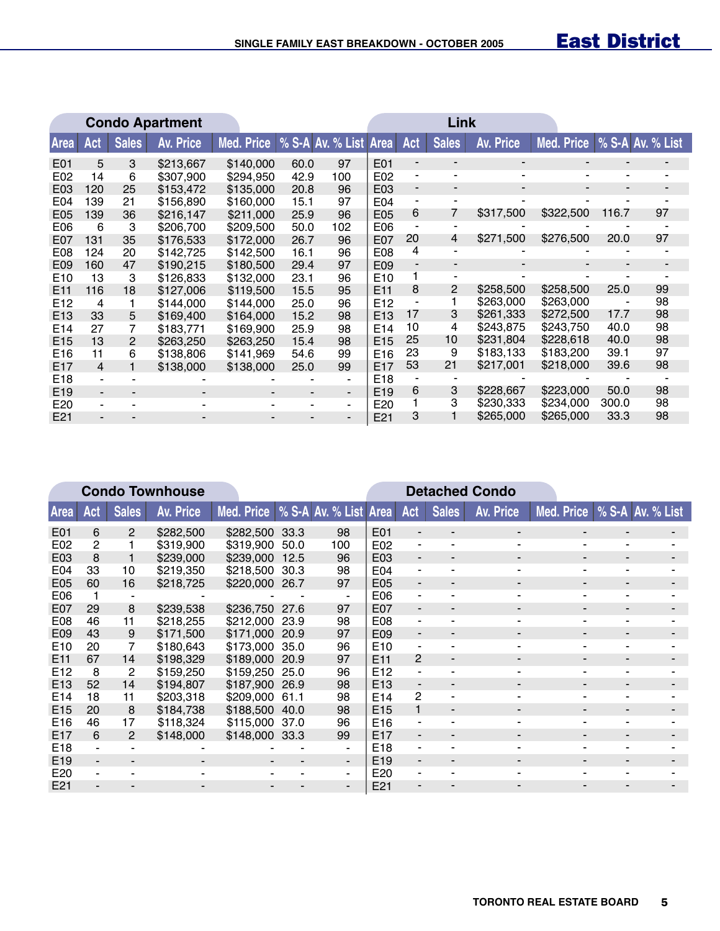|                 |                          |                          | <b>Condo Apartment</b> |                                  |      |                |                 |                          | Link                     |                          |            |                          |                  |
|-----------------|--------------------------|--------------------------|------------------------|----------------------------------|------|----------------|-----------------|--------------------------|--------------------------|--------------------------|------------|--------------------------|------------------|
| <b>Area</b>     | Act                      | <b>Sales</b>             | <b>Av. Price</b>       | Med. Price % S-A Av. % List Area |      |                |                 | Act                      | <b>Sales</b>             | Av. Price                | Med. Price |                          | % S-A Av. % List |
| E01             | 5                        | 3                        | \$213,667              | \$140,000                        | 60.0 | 97             | E01             | -                        | $\blacksquare$           | $\overline{\phantom{0}}$ |            |                          |                  |
| E02             | 14                       | 6                        | \$307,900              | \$294,950                        | 42.9 | 100            | E02             | -                        | $\blacksquare$           | $\blacksquare$           |            | $\overline{\phantom{a}}$ |                  |
| E03             | 120                      | 25                       | \$153,472              | \$135,000                        | 20.8 | 96             | E03             | $\overline{\phantom{a}}$ | $\overline{\phantom{a}}$ | Ξ.                       | ۰.         | $\overline{\phantom{0}}$ |                  |
| E04             | 139                      | 21                       | \$156,890              | \$160,000                        | 15.1 | 97             | E04             | -                        |                          |                          |            |                          |                  |
| E05             | 139                      | 36                       | \$216,147              | \$211,000                        | 25.9 | 96             | E05             | 6                        | 7                        | \$317,500                | \$322,500  | 116.7                    | 97               |
| E06             | 6                        | 3                        | \$206.700              | \$209.500                        | 50.0 | 102            | E06             | $\blacksquare$           |                          |                          |            |                          |                  |
| E07             | 131                      | 35                       | \$176,533              | \$172,000                        | 26.7 | 96             | E07             | 20                       | 4                        | \$271,500                | \$276,500  | 20.0                     | 97               |
| E08             | 124                      | 20                       | \$142,725              | \$142,500                        | 16.1 | 96             | E08             | 4                        |                          |                          |            |                          |                  |
| E09             | 160                      | 47                       | \$190,215              | \$180,500                        | 29.4 | 97             | E09             | $\overline{\phantom{0}}$ | $\overline{\phantom{0}}$ |                          |            |                          |                  |
| E <sub>10</sub> | 13                       | 3                        | \$126,833              | \$132,000                        | 23.1 | 96             | E <sub>10</sub> |                          |                          |                          |            |                          |                  |
| E <sub>11</sub> | 116                      | 18                       | \$127,006              | \$119,500                        | 15.5 | 95             | E <sub>11</sub> | 8                        | 2                        | \$258,500                | \$258,500  | 25.0                     | 99               |
| E <sub>12</sub> | 4                        |                          | \$144,000              | \$144,000                        | 25.0 | 96             | E <sub>12</sub> | -                        |                          | \$263,000                | \$263,000  |                          | 98               |
| E <sub>13</sub> | 33                       | 5                        | \$169,400              | \$164,000                        | 15.2 | 98             | E <sub>13</sub> | 17                       | 3                        | \$261,333                | \$272,500  | 17.7                     | 98               |
| E <sub>14</sub> | 27                       | 7                        | \$183,771              | \$169,900                        | 25.9 | 98             | E <sub>14</sub> | 10                       | 4                        | \$243.875                | \$243.750  | 40.0                     | 98               |
| E <sub>15</sub> | 13                       | 2                        | \$263,250              | \$263,250                        | 15.4 | 98             | E <sub>15</sub> | 25                       | 10                       | \$231,804                | \$228,618  | 40.0                     | 98               |
| E <sub>16</sub> | 11                       | 6                        | \$138,806              | \$141,969                        | 54.6 | 99             | E <sub>16</sub> | 23                       | 9                        | \$183,133                | \$183,200  | 39.1                     | 97               |
| E <sub>17</sub> | 4                        |                          | \$138,000              | \$138,000                        | 25.0 | 99             | E <sub>17</sub> | 53                       | 21                       | \$217,001                | \$218,000  | 39.6                     | 98               |
| E <sub>18</sub> | -                        |                          |                        |                                  |      | $\blacksquare$ | E18             |                          |                          |                          |            |                          |                  |
| E <sub>19</sub> | $\overline{\phantom{a}}$ | $\overline{\phantom{0}}$ |                        |                                  |      | ۰.             | E <sub>19</sub> | 6                        | 3                        | \$228,667                | \$223,000  | 50.0                     | 98               |
| E <sub>20</sub> | ٠                        |                          |                        |                                  |      | -              | E20             |                          | 3                        | \$230,333                | \$234,000  | 300.0                    | 98               |
| E <sub>21</sub> |                          |                          |                        |                                  |      |                | E21             | 3                        |                          | \$265,000                | \$265,000  | 33.3                     | 98               |

|                  | <b>Condo Townhouse</b> |                |           |                                  |      |     |                  |                          |              | <b>Detached Condo</b>    |                             |  |
|------------------|------------------------|----------------|-----------|----------------------------------|------|-----|------------------|--------------------------|--------------|--------------------------|-----------------------------|--|
| <b>Area</b>      | Act                    | <b>Sales</b>   | Av. Price | Med. Price % S-A Av. % List Area |      |     |                  | Act                      | <b>Sales</b> | Av. Price                | Med. Price % S-A Av. % List |  |
| E01              | 6                      | $\overline{2}$ | \$282,500 | \$282,500 33.3                   |      | 98  | E01              |                          |              | $\overline{\phantom{0}}$ |                             |  |
| E02              | 2                      |                | \$319,900 | \$319,900                        | 50.0 | 100 | E02              | -                        |              |                          |                             |  |
| E03              | 8                      |                | \$239,000 | \$239,000                        | 12.5 | 96  | E03              | $\overline{\phantom{a}}$ |              |                          |                             |  |
| E <sub>04</sub>  | 33                     | 10             | \$219,350 | \$218,500                        | 30.3 | 98  | E04              | -                        |              |                          |                             |  |
| E05              | 60                     | 16             | \$218,725 | \$220,000                        | 26.7 | 97  | E05              | $\overline{\phantom{a}}$ |              | ۰.                       |                             |  |
| E06              |                        |                |           |                                  |      |     | E06              | ۰                        |              |                          |                             |  |
| E07              | 29                     | 8              | \$239,538 | \$236,750                        | 27.6 | 97  | E07              | $\blacksquare$           |              | ۰.                       |                             |  |
| E <sub>0</sub> 8 | 46                     | 11             | \$218,255 | \$212,000                        | 23.9 | 98  | E <sub>0</sub> 8 |                          |              |                          |                             |  |
| E09              | 43                     | 9              | \$171,500 | \$171,000                        | 20.9 | 97  | E <sub>09</sub>  | $\overline{\phantom{a}}$ |              |                          |                             |  |
| E <sub>10</sub>  | 20                     | 7              | \$180,643 | \$173,000 35.0                   |      | 96  | E <sub>10</sub>  |                          |              |                          |                             |  |
| E <sub>11</sub>  | 67                     | 14             | \$198,329 | \$189,000                        | 20.9 | 97  | E <sub>11</sub>  | 2                        |              |                          |                             |  |
| E <sub>12</sub>  | 8                      | $\overline{2}$ | \$159,250 | \$159,250                        | 25.0 | 96  | E <sub>12</sub>  | ۰                        |              |                          |                             |  |
| E <sub>13</sub>  | 52                     | 14             | \$194,807 | \$187,900                        | 26.9 | 98  | E <sub>13</sub>  |                          |              |                          |                             |  |
| E <sub>14</sub>  | 18                     | 11             | \$203,318 | \$209,000                        | 61.1 | 98  | E14              | 2                        |              |                          |                             |  |
| E <sub>15</sub>  | 20                     | 8              | \$184,738 | \$188,500                        | 40.0 | 98  | E <sub>15</sub>  |                          |              |                          |                             |  |
| E <sub>16</sub>  | 46                     | 17             | \$118,324 | \$115,000                        | 37.0 | 96  | E <sub>16</sub>  |                          |              |                          |                             |  |
| E <sub>17</sub>  | 6                      | 2              | \$148,000 | \$148,000                        | 33.3 | 99  | E <sub>17</sub>  | $\overline{\phantom{a}}$ |              |                          |                             |  |
| E <sub>18</sub>  |                        |                |           |                                  |      | ۰   | E <sub>18</sub>  |                          |              |                          |                             |  |
| E <sub>19</sub>  |                        |                |           |                                  |      | ۰.  | E <sub>19</sub>  | $\overline{\phantom{0}}$ |              |                          |                             |  |
| E20              |                        |                |           |                                  |      | ٠.  | E20              |                          |              |                          |                             |  |
| E <sub>21</sub>  |                        |                |           |                                  |      |     | E21              |                          |              |                          |                             |  |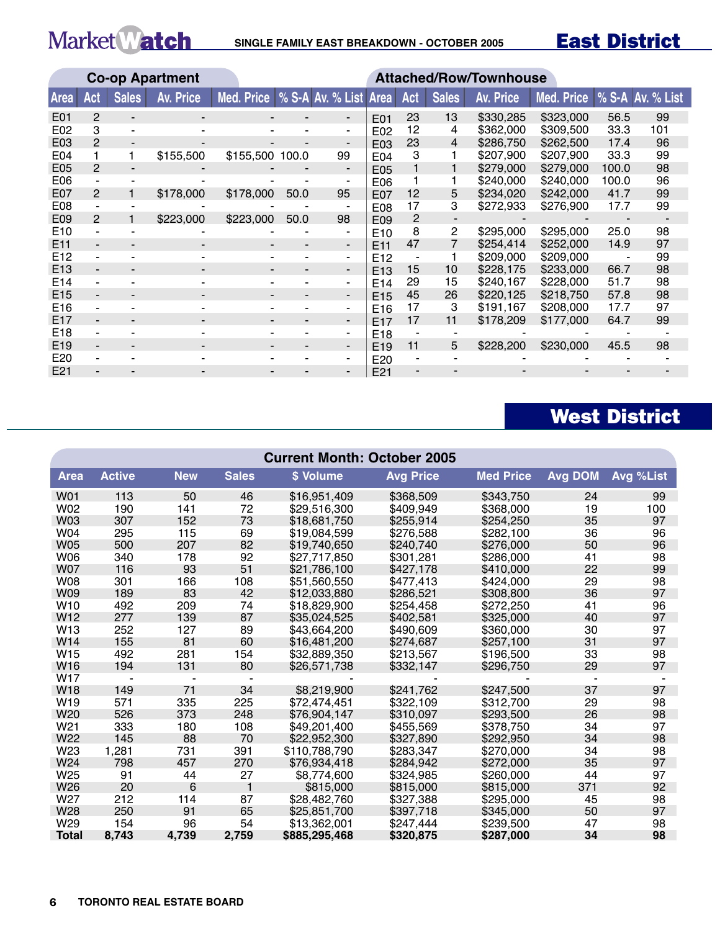Market Match SINGLE FAMILY EAST BREAKDOWN - OCTOBER 2005

East District

|                  |                |              | <b>Co-op Apartment</b> |                                  |      |                |                 |                   |                | <b>Attached/Row/Townhouse</b> |            |       |                  |
|------------------|----------------|--------------|------------------------|----------------------------------|------|----------------|-----------------|-------------------|----------------|-------------------------------|------------|-------|------------------|
| Area             | Act            | <b>Sales</b> | <b>Av. Price</b>       | Med. Price % S-A Av. % List Area |      |                |                 | <b>Act</b>        | <b>Sales</b>   | <b>Av. Price</b>              | Med. Price |       | % S-A Av. % List |
| E01              | $\overline{2}$ |              |                        |                                  |      | $\blacksquare$ | E01             | 23                | 13             | \$330,285                     | \$323,000  | 56.5  | 99               |
| E02              | 3              |              |                        |                                  |      |                | E02             | 12                | 4              | \$362,000                     | \$309,500  | 33.3  | 101              |
| E03              | 2              |              |                        |                                  |      |                | E03             | 23                | $\overline{4}$ | \$286,750                     | \$262,500  | 17.4  | 96               |
| E04              |                |              | \$155,500              | \$155,500 100.0                  |      | 99             | E04             | 3                 |                | \$207,900                     | \$207,900  | 33.3  | 99               |
| E05              | 2              |              |                        |                                  |      | -              | E05             |                   |                | \$279,000                     | \$279,000  | 100.0 | 98               |
| E06              |                |              |                        |                                  |      |                | E06             |                   |                | \$240,000                     | \$240,000  | 100.0 | 96               |
| E07              | 2              |              | \$178,000              | \$178,000                        | 50.0 | 95             | E07             | $12 \overline{ }$ | 5              | \$234,020                     | \$242,000  | 41.7  | 99               |
| E <sub>0</sub> 8 |                |              |                        |                                  |      |                | E08             | 17                | 3              | \$272,933                     | \$276,900  | 17.7  | 99               |
| E09              | $\overline{2}$ |              | \$223,000              | \$223,000                        | 50.0 | 98             | E09             | 2                 |                |                               |            |       |                  |
| E <sub>10</sub>  |                |              |                        |                                  |      |                | E10             | 8                 | 2              | \$295,000                     | \$295,000  | 25.0  | 98               |
| E11              | ۰.             |              | ۰.                     |                                  | -    | $\blacksquare$ | E <sub>11</sub> | 47                |                | \$254,414                     | \$252,000  | 14.9  | 97               |
| E <sub>12</sub>  |                |              |                        |                                  |      | $\blacksquare$ | E <sub>12</sub> |                   |                | \$209,000                     | \$209,000  |       | 99               |
| E <sub>13</sub>  |                |              |                        |                                  |      | $\blacksquare$ | E <sub>13</sub> | 15                | 10             | \$228,175                     | \$233,000  | 66.7  | 98               |
| E14              |                |              |                        |                                  |      |                | E <sub>14</sub> | 29                | 15             | \$240,167                     | \$228,000  | 51.7  | 98               |
| E <sub>15</sub>  |                |              |                        |                                  |      | $\blacksquare$ | E <sub>15</sub> | 45                | 26             | \$220,125                     | \$218.750  | 57.8  | 98               |
| E <sub>16</sub>  |                |              |                        |                                  |      |                | E <sub>16</sub> | 17                | 3              | \$191,167                     | \$208,000  | 17.7  | 97               |
| E <sub>17</sub>  |                |              |                        |                                  |      | $\blacksquare$ | E <sub>17</sub> | 17                | 11             | \$178,209                     | \$177,000  | 64.7  | 99               |
| E <sub>18</sub>  |                |              |                        |                                  |      |                | E <sub>18</sub> |                   |                |                               |            |       |                  |
| E <sub>19</sub>  |                |              |                        |                                  |      | $\blacksquare$ | E <sub>19</sub> | 11                | 5              | \$228,200                     | \$230,000  | 45.5  | 98               |
| E20              |                |              |                        |                                  |      |                | E20             |                   |                |                               |            |       |                  |
| E21              |                |              |                        |                                  |      |                | E21             |                   |                |                               |            |       |                  |

# West District

|                 | <b>Current Month: October 2005</b> |            |              |               |                  |                  |                |           |  |  |  |  |
|-----------------|------------------------------------|------------|--------------|---------------|------------------|------------------|----------------|-----------|--|--|--|--|
| <b>Area</b>     | <b>Active</b>                      | <b>New</b> | <b>Sales</b> | \$ Volume     | <b>Avg Price</b> | <b>Med Price</b> | <b>Avg DOM</b> | Avg %List |  |  |  |  |
| W01             | 113                                | 50         | 46           | \$16,951,409  | \$368,509        | \$343,750        | 24             | 99        |  |  |  |  |
| W02             | 190                                | 141        | 72           | \$29,516,300  | \$409,949        | \$368,000        | 19             | 100       |  |  |  |  |
| <b>W03</b>      | 307                                | 152        | 73           | \$18.681.750  | \$255.914        | \$254,250        | 35             | 97        |  |  |  |  |
| W04             | 295                                | 115        | 69           | \$19,084,599  | \$276,588        | \$282,100        | 36             | 96        |  |  |  |  |
| <b>W05</b>      | 500                                | 207        | 82           | \$19,740,650  | \$240,740        | \$276,000        | 50             | 96        |  |  |  |  |
| W06             | 340                                | 178        | 92           | \$27,717,850  | \$301.281        | \$286,000        | 41             | 98        |  |  |  |  |
| <b>W07</b>      | 116                                | 93         | 51           | \$21.786.100  | \$427.178        | \$410,000        | 22             | 99        |  |  |  |  |
| <b>W08</b>      | 301                                | 166        | 108          | \$51,560,550  | \$477,413        | \$424,000        | 29             | 98        |  |  |  |  |
| W09             | 189                                | 83         | 42           | \$12,033,880  | \$286,521        | \$308,800        | 36             | 97        |  |  |  |  |
| W <sub>10</sub> | 492                                | 209        | 74           | \$18,829,900  | \$254.458        | \$272,250        | 41             | 96        |  |  |  |  |
| W <sub>12</sub> | 277                                | 139        | 87           | \$35,024,525  | \$402.581        | \$325,000        | 40             | 97        |  |  |  |  |
| W13             | 252                                | 127        | 89           | \$43,664,200  | \$490,609        | \$360,000        | 30             | 97        |  |  |  |  |
| W14             | 155                                | 81         | 60           | \$16,481,200  | \$274,687        | \$257,100        | 31             | 97        |  |  |  |  |
| W <sub>15</sub> | 492                                | 281        | 154          | \$32,889,350  | \$213,567        | \$196,500        | 33             | 98        |  |  |  |  |
| W <sub>16</sub> | 194                                | 131        | 80           | \$26,571,738  | \$332,147        | \$296,750        | 29             | 97        |  |  |  |  |
| W17             |                                    |            |              |               |                  |                  |                |           |  |  |  |  |
| W18             | 149                                | 71         | 34           | \$8.219,900   | \$241,762        | \$247,500        | 37             | 97        |  |  |  |  |
| W <sub>19</sub> | 571                                | 335        | 225          | \$72,474,451  | \$322,109        | \$312,700        | 29             | 98        |  |  |  |  |
| W20             | 526                                | 373        | 248          | \$76,904,147  | \$310,097        | \$293,500        | 26             | 98        |  |  |  |  |
| W <sub>21</sub> | 333                                | 180        | 108          | \$49,201,400  | \$455,569        | \$378,750        | 34             | 97        |  |  |  |  |
| W <sub>22</sub> | 145                                | 88         | 70           | \$22,952,300  | \$327,890        | \$292,950        | 34             | 98        |  |  |  |  |
| W23             | 1,281                              | 731        | 391          | \$110,788,790 | \$283,347        | \$270,000        | 34             | 98        |  |  |  |  |
| W24             | 798                                | 457        | 270          | \$76,934,418  | \$284,942        | \$272,000        | 35             | 97        |  |  |  |  |
| W <sub>25</sub> | 91                                 | 44         | 27           | \$8,774,600   | \$324,985        | \$260,000        | 44             | 97        |  |  |  |  |
| W <sub>26</sub> | 20                                 | 6          | 1            | \$815,000     | \$815,000        | \$815,000        | 371            | 92        |  |  |  |  |
| W27             | 212                                | 114        | 87           | \$28,482,760  | \$327,388        | \$295,000        | 45             | 98        |  |  |  |  |
| W28             | 250                                | 91         | 65           | \$25,851,700  | \$397,718        | \$345,000        | 50             | 97        |  |  |  |  |
| W29             | 154                                | 96         | 54           | \$13,362,001  | \$247,444        | \$239,500        | 47             | 98        |  |  |  |  |
| <b>Total</b>    | 8,743                              | 4,739      | 2,759        | \$885,295,468 | \$320,875        | \$287,000        | 34             | 98        |  |  |  |  |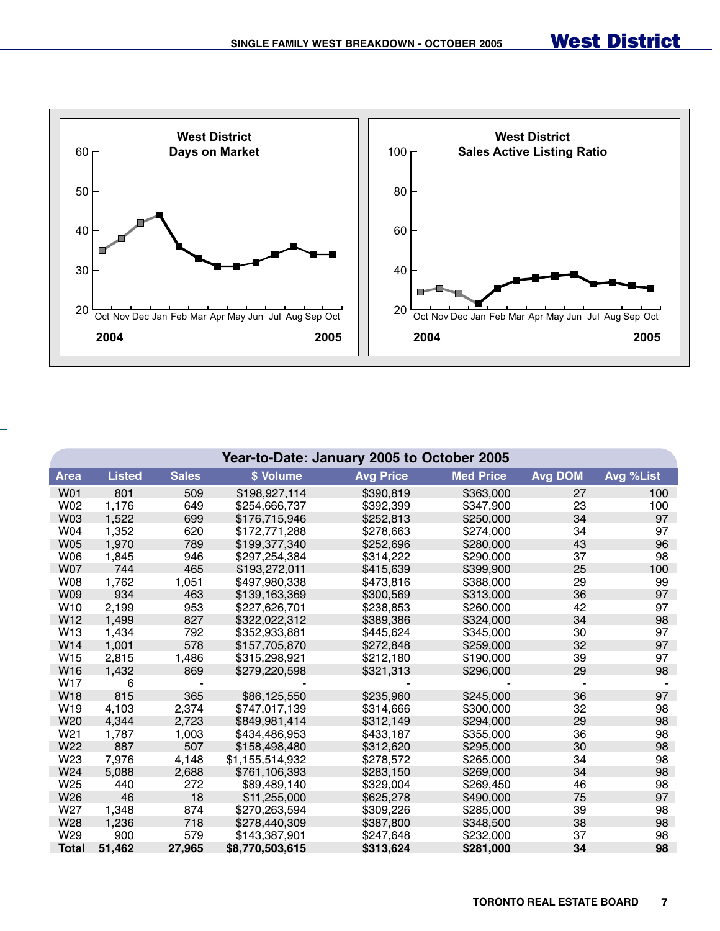

|                 | Year-to-Date: January 2005 to October 2005 |              |                 |                  |                  |                |           |  |  |  |  |  |
|-----------------|--------------------------------------------|--------------|-----------------|------------------|------------------|----------------|-----------|--|--|--|--|--|
| <b>Area</b>     | <b>Listed</b>                              | <b>Sales</b> | \$ Volume       | <b>Avg Price</b> | <b>Med Price</b> | <b>Avg DOM</b> | Avg %List |  |  |  |  |  |
| <b>W01</b>      | 801                                        | 509          | \$198,927,114   | \$390,819        | \$363,000        | 27             | 100       |  |  |  |  |  |
| W02             | 1,176                                      | 649          | \$254,666,737   | \$392,399        | \$347,900        | 23             | 100       |  |  |  |  |  |
| <b>W03</b>      | 1,522                                      | 699          | \$176,715,946   | \$252,813        | \$250,000        | 34             | 97        |  |  |  |  |  |
| W04             | 1,352                                      | 620          | \$172,771,288   | \$278,663        | \$274,000        | 34             | 97        |  |  |  |  |  |
| <b>W05</b>      | 1,970                                      | 789          | \$199,377,340   | \$252,696        | \$280,000        | 43             | 96        |  |  |  |  |  |
| <b>W06</b>      | 1,845                                      | 946          | \$297,254,384   | \$314,222        | \$290,000        | 37             | 98        |  |  |  |  |  |
| <b>W07</b>      | 744                                        | 465          | \$193,272,011   | \$415,639        | \$399,900        | 25             | 100       |  |  |  |  |  |
| <b>W08</b>      | 1,762                                      | 1,051        | \$497,980,338   | \$473,816        | \$388,000        | 29             | 99        |  |  |  |  |  |
| <b>W09</b>      | 934                                        | 463          | \$139,163,369   | \$300,569        | \$313,000        | 36             | 97        |  |  |  |  |  |
| W <sub>10</sub> | 2,199                                      | 953          | \$227,626,701   | \$238,853        | \$260,000        | 42             | 97        |  |  |  |  |  |
| W12             | 1,499                                      | 827          | \$322,022,312   | \$389,386        | \$324,000        | 34             | 98        |  |  |  |  |  |
| W <sub>13</sub> | 1,434                                      | 792          | \$352,933,881   | \$445,624        | \$345,000        | 30             | 97        |  |  |  |  |  |
| W14             | 1,001                                      | 578          | \$157,705,870   | \$272,848        | \$259,000        | 32             | 97        |  |  |  |  |  |
| W15             | 2,815                                      | 1,486        | \$315,298,921   | \$212,180        | \$190,000        | 39             | 97        |  |  |  |  |  |
| W16             | 1,432                                      | 869          | \$279,220,598   | \$321,313        | \$296,000        | 29             | 98        |  |  |  |  |  |
| W <sub>17</sub> | 6                                          |              |                 |                  |                  |                |           |  |  |  |  |  |
| <b>W18</b>      | 815                                        | 365          | \$86,125,550    | \$235,960        | \$245,000        | 36             | 97        |  |  |  |  |  |
| W <sub>19</sub> | 4,103                                      | 2,374        | \$747,017,139   | \$314,666        | \$300,000        | 32             | 98        |  |  |  |  |  |
| W20             | 4,344                                      | 2,723        | \$849,981,414   | \$312,149        | \$294,000        | 29             | 98        |  |  |  |  |  |
| W21             | 1,787                                      | 1,003        | \$434,486,953   | \$433,187        | \$355,000        | 36             | 98        |  |  |  |  |  |
| W22             | 887                                        | 507          | \$158,498,480   | \$312,620        | \$295,000        | 30             | 98        |  |  |  |  |  |
| W23             | 7,976                                      | 4,148        | \$1,155,514,932 | \$278,572        | \$265,000        | 34             | 98        |  |  |  |  |  |
| W24             | 5,088                                      | 2,688        | \$761,106,393   | \$283,150        | \$269,000        | 34             | 98        |  |  |  |  |  |
| W <sub>25</sub> | 440                                        | 272          | \$89,489,140    | \$329,004        | \$269,450        | 46             | 98        |  |  |  |  |  |
| W26             | 46                                         | 18           | \$11,255,000    | \$625,278        | \$490,000        | 75             | 97        |  |  |  |  |  |
| W <sub>27</sub> | 1,348                                      | 874          | \$270,263,594   | \$309,226        | \$285,000        | 39             | 98        |  |  |  |  |  |
| W28             | 1,236                                      | 718          | \$278,440,309   | \$387,800        | \$348,500        | 38             | 98        |  |  |  |  |  |
| W29             | 900                                        | 579          | \$143,387,901   | \$247,648        | \$232,000        | 37             | 98        |  |  |  |  |  |
| <b>Total</b>    | 51,462                                     | 27,965       | \$8,770,503,615 | \$313,624        | \$281,000        | 34             | 98        |  |  |  |  |  |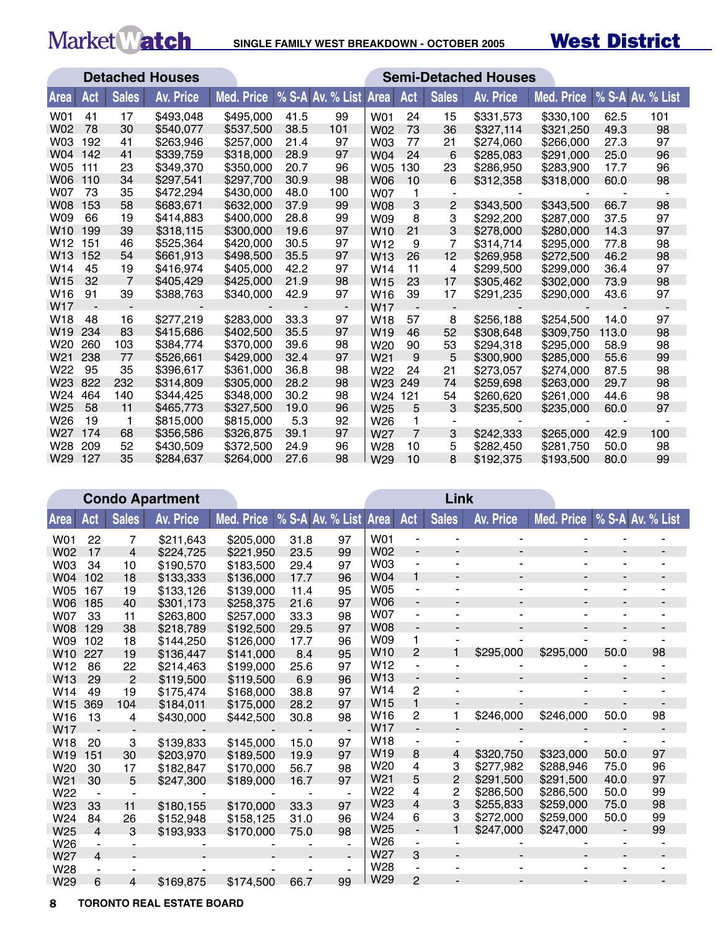### West District **SINGLE FAMILY WEST BREAKDOWN - OCTOBER 2005**

|                 |     |                | <b>Detached Houses</b> |            |      |                       | <b>Semi-Detached Houses</b> |                |              |                  |                   |       |                  |
|-----------------|-----|----------------|------------------------|------------|------|-----------------------|-----------------------------|----------------|--------------|------------------|-------------------|-------|------------------|
| Area            | Act | <b>Sales</b>   | <b>Av. Price</b>       | Med. Price |      | % S-A Av. % List Area |                             | Act            | <b>Sales</b> | <b>Av. Price</b> | <b>Med. Price</b> |       | % S-A Av. % List |
| <b>W01</b>      | 41  | 17             | \$493,048              | \$495,000  | 41.5 | 99                    | W01                         | 24             | 15           | \$331,573        | \$330,100         | 62.5  | 101              |
| <b>W02</b>      | 78  | 30             | \$540,077              | \$537,500  | 38.5 | 101                   | <b>W02</b>                  | 73             | 36           | \$327,114        | \$321.250         | 49.3  | 98               |
| W <sub>03</sub> | 192 | 41             | \$263,946              | \$257,000  | 21.4 | 97                    | W03                         | 77             | 21           | \$274,060        | \$266,000         | 27.3  | 97               |
| W04             | 142 | 41             | \$339,759              | \$318,000  | 28.9 | 97                    | W04                         | 24             | 6            | \$285,083        | \$291.000         | 25.0  | 96               |
| <b>W05</b>      | 111 | 23             | \$349,370              | \$350,000  | 20.7 | 96                    | <b>W05</b>                  | 130            | 23           | \$286,950        | \$283,900         | 17.7  | 96               |
| <b>W06</b>      | 110 | 34             | \$297,541              | \$297,700  | 30.9 | 98                    | <b>W06</b>                  | 10             | 6            | \$312,358        | \$318,000         | 60.0  | 98               |
| <b>W07</b>      | 73  | 35             | \$472,294              | \$430,000  | 48.0 | 100                   | <b>W07</b>                  | 1              |              |                  |                   |       |                  |
| <b>W08</b>      | 153 | 58             | \$683,671              | \$632,000  | 37.9 | 99                    | <b>W08</b>                  | 3              | 2            | \$343,500        | \$343,500         | 66.7  | 98               |
| W09             | 66  | 19             | \$414,883              | \$400,000  | 28.8 | 99                    | W09                         | 8              | 3            | \$292,200        | \$287,000         | 37.5  | 97               |
| W <sub>10</sub> | 199 | 39             | \$318,115              | \$300,000  | 19.6 | 97                    | W <sub>10</sub>             | 21             | 3            | \$278,000        | \$280,000         | 14.3  | 97               |
| W <sub>12</sub> | 151 | 46             | \$525,364              | \$420,000  | 30.5 | 97                    | W <sub>12</sub>             | 9              | 7            | \$314,714        | \$295,000         | 77.8  | 98               |
| W <sub>13</sub> | 152 | 54             | \$661,913              | \$498,500  | 35.5 | 97                    | W <sub>13</sub>             | 26             | 12           | \$269.958        | \$272,500         | 46.2  | 98               |
| W <sub>14</sub> | 45  | 19             | \$416,974              | \$405,000  | 42.2 | 97                    | W <sub>14</sub>             | 11             | 4            | \$299,500        | \$299,000         | 36.4  | 97               |
| W <sub>15</sub> | 32  | $\overline{7}$ | \$405,429              | \$425,000  | 21.9 | 98                    | W <sub>15</sub>             | 23             | 17           | \$305,462        | \$302,000         | 73.9  | 98               |
| W <sub>16</sub> | 91  | 39             | \$388,763              | \$340,000  | 42.9 | 97                    | W <sub>16</sub>             | 39             | 17           | \$291,235        | \$290,000         | 43.6  | 97               |
| W <sub>17</sub> |     |                |                        |            |      | $\blacksquare$        | W <sub>17</sub>             |                |              |                  |                   |       |                  |
| W <sub>18</sub> | 48  | 16             | \$277,219              | \$283,000  | 33.3 | 97                    | W <sub>18</sub>             | 57             | 8            | \$256,188        | \$254,500         | 14.0  | 97               |
| W <sub>19</sub> | 234 | 83             | \$415,686              | \$402,500  | 35.5 | 97                    | W <sub>19</sub>             | 46             | 52           | \$308.648        | \$309.750         | 113.0 | 98               |
| W <sub>20</sub> | 260 | 103            | \$384,774              | \$370,000  | 39.6 | 98                    | W <sub>20</sub>             | 90             | 53           | \$294,318        | \$295,000         | 58.9  | 98               |
| W <sub>21</sub> | 238 | 77             | \$526,661              | \$429,000  | 32.4 | 97                    | W <sub>21</sub>             | 9              | 5            | \$300,900        | \$285,000         | 55.6  | 99               |
| W22             | 95  | 35             | \$396.617              | \$361,000  | 36.8 | 98                    | W22                         | 24             | 21           | \$273,057        | \$274,000         | 87.5  | 98               |
| W <sub>23</sub> | 822 | 232            | \$314,809              | \$305,000  | 28.2 | 98                    | W <sub>23</sub>             | 249            | 74           | \$259,698        | \$263,000         | 29.7  | 98               |
| W24             | 464 | 140            | \$344,425              | \$348,000  | 30.2 | 98                    | W24 121                     |                | 54           | \$260,620        | \$261,000         | 44.6  | 98               |
| W <sub>25</sub> | 58  | 11             | \$465,773              | \$327,500  | 19.0 | 96                    | W <sub>25</sub>             | 5              | 3            | \$235,500        | \$235,000         | 60.0  | 97               |
| W <sub>26</sub> | 19  | $\mathbf 1$    | \$815,000              | \$815,000  | 5.3  | 92                    | W26                         | 1              |              |                  |                   |       |                  |
| W <sub>27</sub> | 174 | 68             | \$356,586              | \$326,875  | 39.1 | 97                    | W <sub>27</sub>             | $\overline{7}$ | 3            | \$242,333        | \$265,000         | 42.9  | 100              |
| W28             | 209 | 52             | \$430,509              | \$372,500  | 24.9 | 96                    | W28                         | 10             | 5            | \$282,450        | \$281,750         | 50.0  | 98               |
| W <sub>29</sub> | 127 | 35             | \$284.637              | \$264,000  | 27.6 | 98                    | W <sub>29</sub>             | 10             | 8            | \$192,375        | \$193,500         | 80.0  | 99               |

|                 | <b>Condo Apartment</b> |                |           |                               |      |                |                 |                          | Link           |                          |                |                |                  |
|-----------------|------------------------|----------------|-----------|-------------------------------|------|----------------|-----------------|--------------------------|----------------|--------------------------|----------------|----------------|------------------|
| <b>Area</b>     | Act                    | <b>Sales</b>   | Av. Price | Med. Price   % S-A Av. % List |      |                | <b>Area</b>     | Act                      | <b>Sales</b>   | Av. Price                | Med. Price     |                | % S-A Av. % List |
| W01             | 22                     | 7              | \$211,643 | \$205,000                     | 31.8 | 97             | <b>W01</b>      |                          |                |                          |                |                |                  |
| W02             | 17                     | $\overline{4}$ | \$224,725 | \$221.950                     | 23.5 | 99             | W02             | $\overline{\phantom{a}}$ |                | $\overline{\phantom{0}}$ |                |                |                  |
| W03             | 34                     | 10             | \$190,570 | \$183,500                     | 29.4 | 97             | W03             | $\overline{a}$           |                |                          |                |                |                  |
| W04             | 102                    | 18             | \$133,333 | \$136,000                     | 17.7 | 96             | <b>W04</b>      | $\mathbf{1}$             |                | $\overline{a}$           |                |                |                  |
| <b>W05</b>      | 167                    | 19             | \$133,126 | \$139,000                     | 11.4 | 95             | <b>W05</b>      | $\overline{\phantom{m}}$ |                | $\blacksquare$           | -              | $\blacksquare$ |                  |
| <b>W06</b>      | 185                    | 40             | \$301,173 | \$258,375                     | 21.6 | 97             | <b>W06</b>      | $\blacksquare$           |                | $\overline{\phantom{0}}$ | $\blacksquare$ |                |                  |
| <b>W07</b>      | 33                     | 11             | \$263,800 | \$257,000                     | 33.3 | 98             | <b>W07</b>      | $\overline{\phantom{0}}$ |                | ۰                        |                |                |                  |
| <b>W08</b>      | 129                    | 38             | \$218,789 | \$192,500                     | 29.5 | 97             | <b>W08</b>      | $\overline{\phantom{a}}$ |                | $\overline{\phantom{a}}$ |                |                |                  |
| W09             | 102                    | 18             | \$144,250 | \$126,000                     | 17.7 | 96             | W09             | 1                        |                |                          |                |                |                  |
| W <sub>10</sub> | 227                    | 19             | \$136,447 | \$141,000                     | 8.4  | 95             | W <sub>10</sub> | $\overline{2}$           |                | \$295,000                | \$295,000      | 50.0           | 98               |
| W <sub>12</sub> | 86                     | 22             | \$214,463 | \$199,000                     | 25.6 | 97             | W <sub>12</sub> | $\overline{a}$           |                |                          |                |                |                  |
| W13             | 29                     | $\overline{2}$ | \$119,500 | \$119,500                     | 6.9  | 96             | W13             | $\blacksquare$           |                | $\overline{\phantom{a}}$ |                |                |                  |
| W14             | 49                     | 19             | \$175,474 | \$168,000                     | 38.8 | 97             | W14             | 2                        |                |                          |                |                |                  |
| W15             | 369                    | 104            | \$184,011 | \$175,000                     | 28.2 | 97             | W <sub>15</sub> | $\mathbf{1}$             |                |                          |                |                |                  |
| W <sub>16</sub> | 13                     | 4              | \$430,000 | \$442,500                     | 30.8 | 98             | W <sub>16</sub> | 2                        |                | \$246,000                | \$246,000      | 50.0           | 98               |
| W17             | $\blacksquare$         |                |           |                               |      |                | W17             |                          |                |                          |                |                |                  |
| W18             | 20                     | 3              | \$139,833 | \$145,000                     | 15.0 | 97             | W18             |                          |                |                          |                |                |                  |
| W <sub>19</sub> | 151                    | 30             | \$203,970 | \$189,500                     | 19.9 | 97             | W <sub>19</sub> | 8                        | 4              | \$320,750                | \$323,000      | 50.0           | 97               |
| W <sub>20</sub> | 30                     | 17             | \$182,847 | \$170,000                     | 56.7 | 98             | W <sub>20</sub> | 4                        | 3              | \$277,982                | \$288,946      | 75.0           | 96               |
| W <sub>21</sub> | 30                     | 5              | \$247,300 | \$189,000                     | 16.7 | 97             | W <sub>21</sub> | 5                        | 2              | \$291.500                | \$291,500      | 40.0           | 97               |
| W22             |                        |                |           |                               |      | $\blacksquare$ | W22             | 4                        | $\overline{c}$ | \$286,500                | \$286,500      | 50.0           | 99               |
| W23             | 33                     | 11             | \$180,155 | \$170,000                     | 33.3 | 97             | W23             | 4                        | 3              | \$255,833                | \$259,000      | 75.0           | 98               |
| W24             | 84                     | 26             | \$152,948 | \$158,125                     | 31.0 | 96             | W24             | 6                        | 3              | \$272,000                | \$259,000      | 50.0           | 99               |
| W <sub>25</sub> | 4                      | 3              | \$193,933 | \$170,000                     | 75.0 | 98             | W25             | $\overline{a}$           |                | \$247,000                | \$247,000      |                | 99               |
| W26             | $\blacksquare$         |                |           |                               |      |                | W <sub>26</sub> |                          |                |                          |                |                |                  |
| W27             | 4                      |                |           |                               |      |                | W27             | 3                        |                |                          |                |                |                  |
| W28             |                        |                |           |                               |      |                | W28             |                          |                |                          |                |                |                  |
| W29             | 6                      | 4              | \$169,875 | \$174,500                     | 66.7 | 99             | W29             | $\overline{c}$           |                |                          |                |                |                  |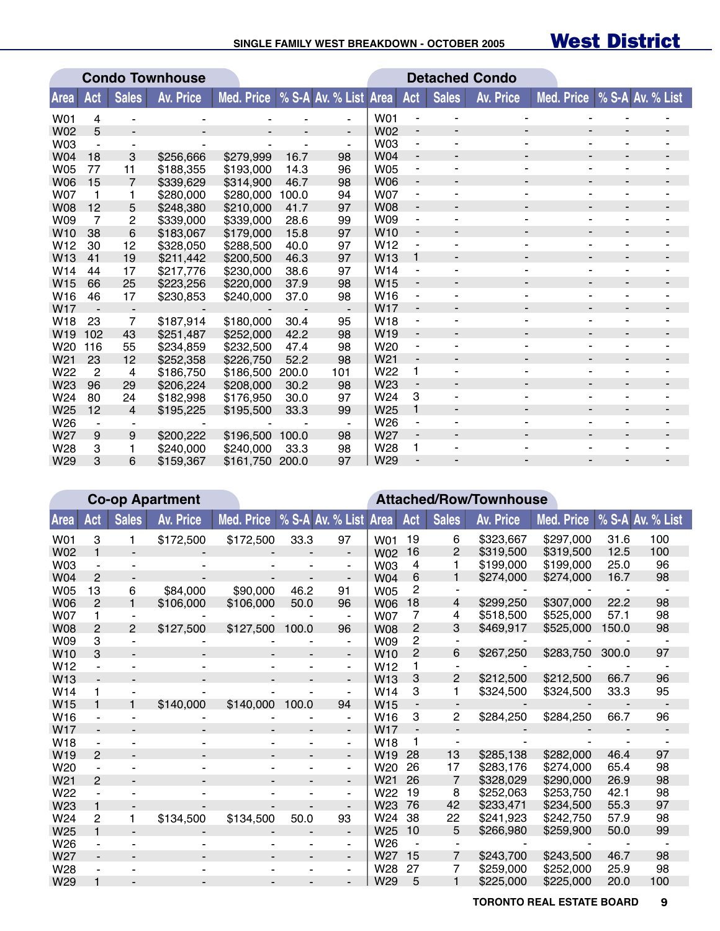#### **SINGLE FAMILY WEST BREAKDOWN - OCTOBER 2005**

# West District

|                 |                |                | <b>Condo Townhouse</b> |                                  |       |                | <b>Detached Condo</b> |                              |                          |           |                             |                          |  |
|-----------------|----------------|----------------|------------------------|----------------------------------|-------|----------------|-----------------------|------------------------------|--------------------------|-----------|-----------------------------|--------------------------|--|
| Area            | Act            | <b>Sales</b>   | <b>Av. Price</b>       | Med. Price % S-A Av. % List Area |       |                |                       | Act                          | <b>Sales</b>             | Av. Price | Med. Price % S-A Av. % List |                          |  |
| W01             | 4              |                |                        |                                  |       |                | <b>W01</b>            |                              |                          |           |                             |                          |  |
| <b>W02</b>      | 5              |                |                        |                                  |       | $\blacksquare$ | <b>W02</b>            | $\overline{\phantom{a}}$     |                          |           | $\overline{\phantom{a}}$    |                          |  |
| W03             |                |                |                        |                                  |       | $\blacksquare$ | <b>W03</b>            | $\overline{\phantom{a}}$     |                          |           |                             |                          |  |
| W04             | 18             | 3              | \$256,666              | \$279,999                        | 16.7  | 98             | W04                   | $\overline{\phantom{a}}$     | $\overline{\phantom{0}}$ |           | $\overline{\phantom{a}}$    | $\blacksquare$           |  |
| <b>W05</b>      | 77             | 11             | \$188,355              | \$193,000                        | 14.3  | 96             | <b>W05</b>            | $\overline{a}$               |                          |           |                             |                          |  |
| <b>W06</b>      | 15             | 7              | \$339,629              | \$314,900                        | 46.7  | 98             | <b>W06</b>            | $\overline{\phantom{a}}$     |                          |           |                             |                          |  |
| <b>W07</b>      | 1              |                | \$280,000              | \$280,000                        | 100.0 | 94             | <b>W07</b>            | $\qquad \qquad \blacksquare$ |                          |           | -                           |                          |  |
| <b>W08</b>      | 12             | 5              | \$248,380              | \$210,000                        | 41.7  | 97             | <b>W08</b>            | $\overline{\phantom{a}}$     |                          |           | $\overline{\phantom{0}}$    |                          |  |
| W09             | 7              | 2              | \$339,000              | \$339,000                        | 28.6  | 99             | W09                   | $\overline{\phantom{a}}$     |                          |           | ۰                           |                          |  |
| W <sub>10</sub> | 38             | 6              | \$183,067              | \$179,000                        | 15.8  | 97             | W <sub>10</sub>       | $\overline{\phantom{a}}$     |                          |           | $\overline{\phantom{a}}$    |                          |  |
| W <sub>12</sub> | 30             | 12             | \$328,050              | \$288,500                        | 40.0  | 97             | W <sub>12</sub>       |                              |                          |           | $\overline{\phantom{a}}$    |                          |  |
| W <sub>13</sub> | 41             | 19             | \$211,442              | \$200,500                        | 46.3  | 97             | W <sub>13</sub>       | 1                            |                          |           | $\overline{\phantom{a}}$    |                          |  |
| W14             | 44             | 17             | \$217,776              | \$230,000                        | 38.6  | 97             | W <sub>14</sub>       | $\qquad \qquad \blacksquare$ |                          |           | $\blacksquare$              |                          |  |
| W15             | 66             | 25             | \$223,256              | \$220,000                        | 37.9  | 98             | W <sub>15</sub>       | $\overline{\phantom{a}}$     | $\overline{\phantom{a}}$ |           | $\blacksquare$              | $\overline{\phantom{a}}$ |  |
| W <sub>16</sub> | 46             | 17             | \$230,853              | \$240,000                        | 37.0  | 98             | W <sub>16</sub>       | $\qquad \qquad \blacksquare$ |                          |           | $\overline{\phantom{m}}$    |                          |  |
| W <sub>17</sub> |                |                |                        |                                  |       |                | <b>W17</b>            | $\overline{\phantom{a}}$     |                          |           | $\overline{\phantom{a}}$    |                          |  |
| W <sub>18</sub> | 23             | 7              | \$187,914              | \$180,000                        | 30.4  | 95             | W <sub>18</sub>       | $\overline{\phantom{a}}$     |                          |           | $\blacksquare$              |                          |  |
| W <sub>19</sub> | 102            | 43             | \$251,487              | \$252,000                        | 42.2  | 98             | W <sub>19</sub>       | $\overline{\phantom{a}}$     |                          |           | $\overline{\phantom{a}}$    |                          |  |
| W <sub>20</sub> | 116            | 55             | \$234,859              | \$232,500                        | 47.4  | 98             | W <sub>20</sub>       |                              |                          |           | $\blacksquare$              |                          |  |
| W <sub>21</sub> | 23             | 12             | \$252,358              | \$226,750                        | 52.2  | 98             | W <sub>21</sub>       | $\overline{\phantom{a}}$     |                          |           | $\overline{\phantom{a}}$    |                          |  |
| W22             | $\overline{2}$ | 4              | \$186,750              | \$186,500                        | 200.0 | 101            | W <sub>22</sub>       | 1                            |                          |           | $\blacksquare$              |                          |  |
| W23             | 96             | 29             | \$206,224              | \$208,000                        | 30.2  | 98             | W <sub>23</sub>       |                              |                          |           | $\blacksquare$              |                          |  |
| W24             | 80             | 24             | \$182.998              | \$176,950                        | 30.0  | 97             | W <sub>24</sub>       | 3                            |                          |           | $\blacksquare$              | $\blacksquare$           |  |
| W25             | 12             | $\overline{4}$ | \$195,225              | \$195,500                        | 33.3  | 99             | W25                   | 1                            |                          |           | $\overline{\phantom{a}}$    | $\overline{\phantom{a}}$ |  |
| W <sub>26</sub> |                |                |                        |                                  |       | $\blacksquare$ | W26                   |                              |                          |           |                             |                          |  |
| W <sub>27</sub> | 9              | 9              | \$200,222              | \$196,500                        | 100.0 | 98             | W27                   | $\overline{\phantom{a}}$     |                          |           | $\overline{\phantom{a}}$    |                          |  |
| W28             | 3              |                | \$240,000              | \$240,000                        | 33.3  | 98             | W28                   | 1                            |                          |           |                             |                          |  |
| W29             | 3              | 6              | \$159,367              | \$161,750                        | 200.0 | 97             | W29                   |                              |                          |           |                             |                          |  |

|                        | <b>Co-op Apartment</b> |              |                  |                   | <b>Attached/Row/Townhouse</b> |                          |                                    |                |              |                        |            |              |                  |  |  |
|------------------------|------------------------|--------------|------------------|-------------------|-------------------------------|--------------------------|------------------------------------|----------------|--------------|------------------------|------------|--------------|------------------|--|--|
| <b>Area</b>            | Act                    | <b>Sales</b> | <b>Av. Price</b> | <b>Med. Price</b> |                               | % S-A Av. % List         | <b>Area</b>                        | Act            | <b>Sales</b> | <b>Av. Price</b>       | Med. Price |              | % S-A Av. % List |  |  |
| W01                    | 3                      | 1            | \$172,500        | \$172,500         | 33.3                          | 97                       | <b>W01</b>                         | 19             | 6            | \$323,667              | \$297,000  | 31.6         | 100              |  |  |
| W02                    |                        |              |                  |                   |                               |                          | W02                                | 16             | 2            | \$319,500              | \$319,500  | 12.5         | 100              |  |  |
| W03                    |                        |              |                  |                   |                               |                          | W03                                | 4              | 1            | \$199,000              | \$199,000  | 25.0         | 96               |  |  |
| W04                    | 2                      |              |                  |                   |                               |                          | W04                                | 6              | 1            | \$274,000              | \$274,000  | 16.7         | 98               |  |  |
| W05                    | 13                     | 6            | \$84,000         | \$90,000          | 46.2                          | 91                       | <b>W05</b>                         | 2              |              |                        |            |              |                  |  |  |
| <b>W06</b>             | $\overline{2}$         |              | \$106,000        | \$106,000         | 50.0                          | 96                       | <b>W06</b>                         | 18             | 4            | \$299,250              | \$307,000  | 22.2         | 98               |  |  |
| <b>W07</b>             |                        |              |                  |                   |                               |                          | <b>W07</b>                         | 7              | 4            | \$518,500              | \$525,000  | 57.1         | 98               |  |  |
| <b>W08</b>             | 2                      | 2            | \$127,500        | \$127,500         | 100.0                         | 96                       | <b>W08</b>                         | 2              | 3            | \$469,917              | \$525,000  | 150.0        | 98               |  |  |
| W09                    | 3                      |              |                  |                   |                               |                          | W09                                | $\overline{c}$ |              |                        |            |              |                  |  |  |
| W <sub>10</sub>        | 3                      |              |                  |                   |                               |                          | W <sub>10</sub>                    | 2              | 6            | \$267,250              | \$283,750  | 300.0        | 97               |  |  |
| W12                    |                        |              |                  |                   |                               | -                        | W <sub>12</sub>                    |                |              |                        |            |              |                  |  |  |
| W13                    |                        |              |                  |                   |                               |                          | W <sub>13</sub>                    | 3              | 2            | \$212,500              | \$212,500  | 66.7         | 96               |  |  |
| W14                    |                        |              |                  |                   |                               |                          | W <sub>14</sub>                    | 3              | 1            | \$324,500              | \$324,500  | 33.3         | 95               |  |  |
| W15                    |                        |              | \$140,000        | \$140,000         | 100.0                         | 94                       | W <sub>15</sub>                    |                |              |                        |            |              |                  |  |  |
| W <sub>16</sub>        |                        |              |                  |                   |                               |                          | W <sub>16</sub>                    | 3              | 2            | \$284,250              | \$284,250  | 66.7         | 96               |  |  |
| W <sub>17</sub>        |                        |              |                  |                   |                               | -                        | W <sub>17</sub>                    |                |              |                        |            |              |                  |  |  |
| W18                    |                        |              |                  |                   |                               | -                        | W18                                |                |              |                        |            |              |                  |  |  |
| W19                    | 2                      |              |                  |                   |                               |                          | W <sub>19</sub>                    | 28             | 13           | \$285,138              | \$282,000  | 46.4         | 97               |  |  |
| W <sub>20</sub>        |                        |              |                  |                   |                               | ۰                        | W <sub>20</sub>                    | 26             | 17           | \$283.176              | \$274,000  | 65.4         | 98               |  |  |
| W <sub>21</sub>        | $\overline{2}$         |              |                  |                   |                               | $\overline{\phantom{a}}$ | W <sub>21</sub>                    | 26             | 7            | \$328,029              | \$290,000  | 26.9         | 98               |  |  |
| W22                    |                        |              |                  |                   |                               | ۰.                       | W <sub>22</sub>                    | 19             | 8            | \$252,063              | \$253.750  | 42.1         | 98<br>97         |  |  |
| W23                    |                        |              |                  |                   |                               |                          | W <sub>23</sub>                    | 76<br>38       | 42           | \$233,471              | \$234,500  | 55.3         |                  |  |  |
| W24                    | $\overline{c}$         |              | \$134,500        | \$134,500         | 50.0                          | 93                       | W <sub>24</sub><br>W <sub>25</sub> | 10             | 22<br>5      | \$241,923<br>\$266,980 | \$242,750  | 57.9<br>50.0 | 98<br>99         |  |  |
| W <sub>25</sub><br>W26 |                        |              |                  |                   |                               | -                        | W26                                |                |              |                        | \$259,900  |              |                  |  |  |
| W27                    |                        |              |                  |                   |                               | ٠<br>۰.                  | W <sub>27</sub>                    | 15             | 7            | \$243,700              | \$243,500  | 46.7         | 98               |  |  |
| W28                    |                        |              |                  |                   |                               | -                        | W28                                | 27             | 7            | \$259,000              | \$252,000  | 25.9         | 98               |  |  |
| W29                    |                        |              |                  |                   |                               |                          | W29                                | 5              | 1            | \$225,000              | \$225,000  | 20.0         | 100              |  |  |
|                        |                        |              |                  |                   |                               |                          |                                    |                |              |                        |            |              |                  |  |  |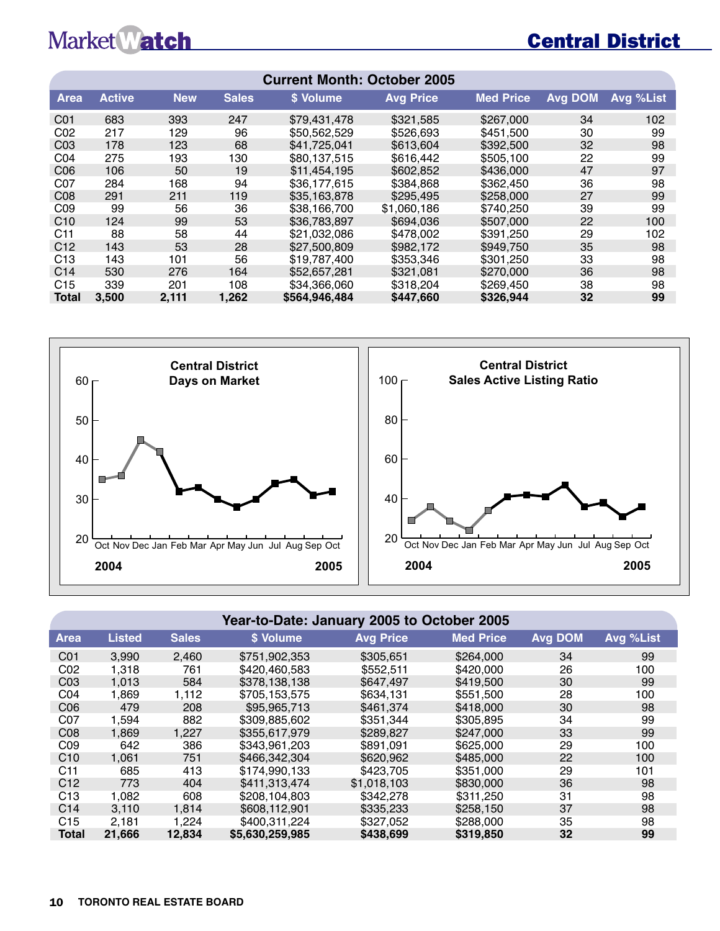# Central District

| <b>Current Month: October 2005</b> |               |            |              |               |                  |                  |                |                  |  |  |  |  |
|------------------------------------|---------------|------------|--------------|---------------|------------------|------------------|----------------|------------------|--|--|--|--|
| Area                               | <b>Active</b> | <b>New</b> | <b>Sales</b> | \$ Volume     | <b>Avg Price</b> | <b>Med Price</b> | <b>Avg DOM</b> | <b>Avg %List</b> |  |  |  |  |
| C <sub>01</sub>                    | 683           | 393        | 247          | \$79,431,478  | \$321,585        | \$267,000        | 34             | 102              |  |  |  |  |
| CO <sub>2</sub>                    | 217           | 129        | 96           | \$50,562,529  | \$526,693        | \$451,500        | 30             | 99               |  |  |  |  |
| CO <sub>3</sub>                    | 178           | 123        | 68           | \$41,725,041  | \$613,604        | \$392,500        | 32             | 98               |  |  |  |  |
| CO <sub>4</sub>                    | 275           | 193        | 130          | \$80.137.515  | \$616,442        | \$505,100        | 22             | 99               |  |  |  |  |
| CO6                                | 106           | 50         | 19           | \$11,454,195  | \$602,852        | \$436,000        | 47             | 97               |  |  |  |  |
| C <sub>07</sub>                    | 284           | 168        | 94           | \$36,177,615  | \$384,868        | \$362,450        | 36             | 98               |  |  |  |  |
| CO8                                | 291           | 211        | 119          | \$35,163,878  | \$295,495        | \$258,000        | 27             | 99               |  |  |  |  |
| CO9                                | 99            | 56         | 36           | \$38,166,700  | \$1,060,186      | \$740.250        | 39             | 99               |  |  |  |  |
| C10                                | 124           | 99         | 53           | \$36,783,897  | \$694,036        | \$507,000        | 22             | 100              |  |  |  |  |
| C <sub>11</sub>                    | 88            | 58         | 44           | \$21,032,086  | \$478,002        | \$391,250        | 29             | 102              |  |  |  |  |
| C12                                | 143           | 53         | 28           | \$27,500,809  | \$982,172        | \$949,750        | 35             | 98               |  |  |  |  |
| C <sub>13</sub>                    | 143           | 101        | 56           | \$19,787,400  | \$353,346        | \$301.250        | 33             | 98               |  |  |  |  |
| C <sub>14</sub>                    | 530           | 276        | 164          | \$52,657,281  | \$321,081        | \$270,000        | 36             | 98               |  |  |  |  |
| C <sub>15</sub>                    | 339           | 201        | 108          | \$34,366,060  | \$318,204        | \$269,450        | 38             | 98               |  |  |  |  |
| <b>Total</b>                       | 3,500         | 2,111      | 1,262        | \$564,946,484 | \$447,660        | \$326,944        | 32             | 99               |  |  |  |  |



#### **Year-to-Date: January 2005 to October 2005**

| <b>Area</b>     | <b>Listed</b> | <b>Sales</b> | '\$ Volume,     | <b>Avg Price</b> | <b>Med Price</b> | Avg DOM | Avg %List |
|-----------------|---------------|--------------|-----------------|------------------|------------------|---------|-----------|
| C <sub>01</sub> | 3.990         | 2.460        | \$751.902.353   | \$305.651        | \$264,000        | 34      | 99        |
| CO <sub>2</sub> | 1,318         | 761          | \$420,460,583   | \$552,511        | \$420,000        | 26      | 100       |
| CO <sub>3</sub> | 1,013         | 584          | \$378.138.138   | \$647.497        | \$419,500        | 30      | 99        |
| CO <sub>4</sub> | 1,869         | 1,112        | \$705,153,575   | \$634,131        | \$551,500        | 28      | 100       |
| CO6             | 479           | 208          | \$95,965,713    | \$461.374        | \$418,000        | 30      | 98        |
| C <sub>07</sub> | 1.594         | 882          | \$309,885,602   | \$351.344        | \$305.895        | 34      | 99        |
| CO8             | 1,869         | 1,227        | \$355,617,979   | \$289,827        | \$247,000        | 33      | 99        |
| CO9             | 642           | 386          | \$343.961.203   | \$891.091        | \$625,000        | 29      | 100       |
| C10             | 1,061         | 751          | \$466,342,304   | \$620,962        | \$485,000        | 22      | 100       |
| C11             | 685           | 413          | \$174.990.133   | \$423,705        | \$351,000        | 29      | 101       |
| C <sub>12</sub> | 773           | 404          | \$411.313.474   | \$1,018,103      | \$830,000        | 36      | 98        |
| C13             | 1,082         | 608          | \$208,104,803   | \$342,278        | \$311,250        | 31      | 98        |
| C <sub>14</sub> | 3.110         | 1.814        | \$608,112,901   | \$335,233        | \$258.150        | 37      | 98        |
| C15             | 2.181         | 1.224        | \$400.311.224   | \$327.052        | \$288,000        | 35      | 98        |
| <b>Total</b>    | 21,666        | 12.834       | \$5,630,259,985 | \$438,699        | \$319,850        | 32      | 99        |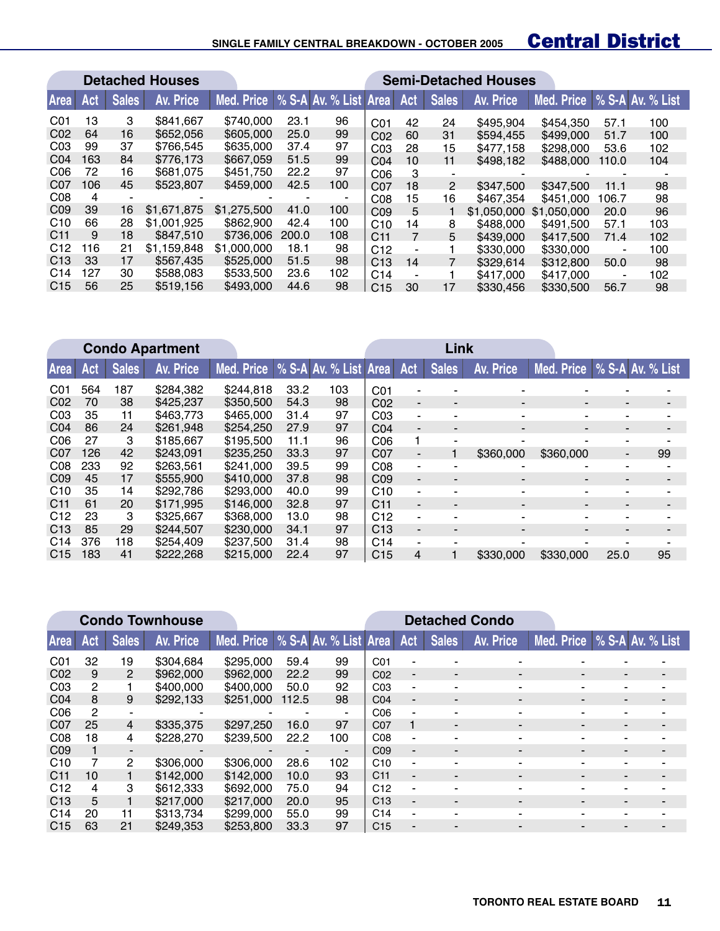#### **SINGLE FAMILY CENTRAL BREAKDOWN - OCTOBER 2005**

# **Central District**

|                 | <b>Detached Houses</b> |              |             |                                    |                |     |                 |     |                          | <b>Semi-Detached Houses</b> |                             |       |     |
|-----------------|------------------------|--------------|-------------|------------------------------------|----------------|-----|-----------------|-----|--------------------------|-----------------------------|-----------------------------|-------|-----|
| <b>Area</b>     | Act                    | <b>Sales</b> | Av. Price   | Med. Price   % S-A Av. % List Area |                |     |                 | Act | <b>Sales</b>             | <b>Av. Price</b>            | Med. Price % S-A Av. % List |       |     |
| CO <sub>1</sub> | 13                     | 3            | \$841,667   | \$740,000                          | 23.1           | 96  | C <sub>01</sub> | 42  | 24                       | \$495,904                   | \$454.350                   | 57.1  | 100 |
| CO <sub>2</sub> | 64                     | 16           | \$652,056   | \$605,000                          | 25.0           | 99  | CO <sub>2</sub> | 60  | 31                       | \$594.455                   | \$499,000                   | 51.7  | 100 |
| CO <sub>3</sub> | 99                     | 37           | \$766.545   | \$635,000                          | 37.4           | 97  | CO <sub>3</sub> | 28  | 15                       | \$477.158                   | \$298,000                   | 53.6  | 102 |
| CO <sub>4</sub> | 163                    | 84           | \$776.173   | \$667,059                          | 51.5           | 99  | CO <sub>4</sub> | 10  | 11                       | \$498.182                   | \$488,000                   | 110.0 | 104 |
| C <sub>06</sub> | 72                     | 16           | \$681,075   | \$451,750                          | 22.2           | 97  | C <sub>06</sub> | 3   | $\overline{\phantom{0}}$ |                             |                             |       |     |
| C <sub>07</sub> | 106                    | 45           | \$523,807   | \$459,000                          | 42.5           | 100 | CO <sub>7</sub> | 18  | 2                        | \$347,500                   | \$347,500                   | 11.1  | 98  |
| CO8             | 4                      |              |             |                                    | $\blacksquare$ | -   | C <sub>08</sub> | 15  | 16                       | \$467.354                   | \$451,000                   | 106.7 | 98  |
| CO <sub>9</sub> | 39                     | 16           | \$1.671.875 | \$1,275,500                        | 41.0           | 100 | CO <sub>9</sub> | 5   |                          | \$1,050,000                 | \$1,050,000                 | 20.0  | 96  |
| C10             | 66                     | 28           | \$1,001.925 | \$862,900                          | 42.4           | 100 | C10             | 14  | 8                        | \$488,000                   | \$491.500                   | 57.1  | 103 |
| C <sub>11</sub> | 9                      | 18           | \$847,510   | \$736,006                          | 200.0          | 108 | C <sub>11</sub> |     | 5                        | \$439,000                   | \$417.500                   | 71.4  | 102 |
| C12             | 116                    | 21           | \$1.159.848 | \$1,000,000                        | 18.1           | 98  | C12             |     |                          | \$330,000                   | \$330,000                   |       | 100 |
| C <sub>13</sub> | 33                     | 17           | \$567.435   | \$525,000                          | 51.5           | 98  | C13             | 14  |                          | \$329.614                   | \$312,800                   | 50.0  | 98  |
| C <sub>14</sub> | 127                    | 30           | \$588,083   | \$533,500                          | 23.6           | 102 | C <sub>14</sub> |     |                          | \$417,000                   | \$417,000                   | ۰     | 102 |
| C15             | 56                     | 25           | \$519.156   | \$493,000                          | 44.6           | 98  | C <sub>15</sub> | 30  | 17                       | \$330.456                   | \$330,500                   | 56.7  | 98  |

|                 | <b>Condo Apartment</b> |              |           |                                    |      |     | Link            |                          |                          |                          |            |                |                  |
|-----------------|------------------------|--------------|-----------|------------------------------------|------|-----|-----------------|--------------------------|--------------------------|--------------------------|------------|----------------|------------------|
| Area            | <b>Act</b>             | <b>Sales</b> | Av. Price | Med. Price   % S-A Av. % List Area |      |     |                 | Act                      | <b>Sales</b>             | Av. Price                | Med. Price |                | % S-A Av. % List |
| CO <sub>1</sub> | 564                    | 187          | \$284.382 | \$244.818                          | 33.2 | 103 | CO <sub>1</sub> | ۰                        |                          |                          |            |                |                  |
| CO <sub>2</sub> | 70                     | 38           | \$425,237 | \$350,500                          | 54.3 | 98  | CO <sub>2</sub> | $\overline{\phantom{0}}$ | $\blacksquare$           | $\blacksquare$           | -          |                |                  |
| CO <sub>3</sub> | 35                     | 11           | \$463,773 | \$465,000                          | 31.4 | 97  | CO <sub>3</sub> | ۰                        | -                        | $\overline{\phantom{a}}$ | ۰          | ۰              |                  |
| CO <sub>4</sub> | 86                     | 24           | \$261.948 | \$254.250                          | 27.9 | 97  | CO <sub>4</sub> | $\blacksquare$           |                          |                          |            |                |                  |
| C <sub>06</sub> | 27                     | 3            | \$185,667 | \$195,500                          | 11.1 | 96  | C <sub>06</sub> |                          | -                        |                          |            |                |                  |
| C <sub>07</sub> | 126                    | 42           | \$243.091 | \$235,250                          | 33.3 | 97  | CO <sub>7</sub> | $\overline{\phantom{0}}$ |                          | \$360,000                | \$360,000  | $\blacksquare$ | 99               |
| CO8             | 233                    | 92           | \$263.561 | \$241,000                          | 39.5 | 99  | CO8             | $\blacksquare$           |                          |                          | -          |                |                  |
| CO <sub>9</sub> | 45                     | 17           | \$555,900 | \$410,000                          | 37.8 | 98  | CO <sub>9</sub> | $\blacksquare$           | $\overline{\phantom{0}}$ | $\blacksquare$           | ۰.         |                |                  |
| C10             | 35                     | 14           | \$292,786 | \$293,000                          | 40.0 | 99  | C10             | ۰                        |                          |                          | ۰          |                |                  |
| C <sub>11</sub> | 61                     | 20           | \$171.995 | \$146,000                          | 32.8 | 97  | C <sub>11</sub> | $\blacksquare$           |                          | $\overline{\phantom{0}}$ |            |                |                  |
| C12             | 23                     | 3            | \$325,667 | \$368,000                          | 13.0 | 98  | C12             | ۰                        |                          |                          |            |                |                  |
| C <sub>13</sub> | 85                     | 29           | \$244,507 | \$230,000                          | 34.1 | 97  | C13             | $\blacksquare$           |                          | $\blacksquare$           |            |                |                  |
| C <sub>14</sub> | 376                    | 118          | \$254,409 | \$237.500                          | 31.4 | 98  | C <sub>14</sub> | ۰.                       |                          |                          |            |                |                  |
| C15             | 183                    | 41           | \$222,268 | \$215,000                          | 22.4 | 97  | C15             | 4                        |                          | \$330,000                | \$330,000  | 25.0           | 95               |

|                 |                |                | <b>Condo Townhouse</b> |                                  |       |                |                 |                          | <b>Detached Condo</b> |                          |                             |                          |   |
|-----------------|----------------|----------------|------------------------|----------------------------------|-------|----------------|-----------------|--------------------------|-----------------------|--------------------------|-----------------------------|--------------------------|---|
| <b>Area</b>     | Act,           | <b>Sales</b>   | Av. Price              | Med. Price % S-A Av. % List Area |       |                |                 | Act                      | <b>Sales</b>          | Av. Price                | Med. Price % S-A Av. % List |                          |   |
| CO <sub>1</sub> | 32             | 19             | \$304,684              | \$295,000                        | 59.4  | 99             | CO <sub>1</sub> |                          |                       |                          |                             |                          |   |
| CO <sub>2</sub> | 9              | 2              | \$962,000              | \$962,000                        | 22.2  | 99             | CO <sub>2</sub> | $\blacksquare$           | $\blacksquare$        | $\overline{\phantom{a}}$ | $\overline{\phantom{a}}$    | $\overline{\phantom{a}}$ |   |
| CO <sub>3</sub> | $\overline{2}$ |                | \$400,000              | \$400,000                        | 50.0  | 92             | C <sub>03</sub> | ۰                        |                       | ۰                        | ٠                           |                          |   |
| CO <sub>4</sub> | 8              | 9              | \$292,133              | \$251,000                        | 112.5 | 98             | CO <sub>4</sub> | ۰.                       | $\blacksquare$        | -                        | $\blacksquare$              | $\blacksquare$           |   |
| C <sub>06</sub> | $\mathcal{P}$  | ۰              | $\blacksquare$         |                                  | ٠     | -              | C <sub>06</sub> | ٠                        |                       | -                        | ٠                           | -                        |   |
| CO <sub>7</sub> | 25             | $\overline{4}$ | \$335,375              | \$297.250                        | 16.0  | 97             | CO <sub>7</sub> | 1                        | -                     | -                        | $\blacksquare$              | $\blacksquare$           | - |
| CO8             | 18             | 4              | \$228,270              | \$239,500                        | 22.2  | 100            | CO8             | ۰                        |                       | -                        | $\overline{\phantom{0}}$    | -                        |   |
| CO <sub>9</sub> |                | ۰.             |                        |                                  |       | $\blacksquare$ | CO <sub>9</sub> | ۰.                       |                       |                          |                             | $\blacksquare$           |   |
| C10             |                | $\overline{2}$ | \$306,000              | \$306,000                        | 28.6  | 102            | C10             | ٠                        |                       | ۰                        | ٠                           | ۰                        |   |
| C <sub>11</sub> | 10             |                | \$142,000              | \$142,000                        | 10.0  | 93             | C <sub>11</sub> | $\overline{\phantom{0}}$ | -                     |                          | $\overline{\phantom{0}}$    | -                        |   |
| C12             | 4              | 3              | \$612,333              | \$692,000                        | 75.0  | 94             | C12             | ۰                        |                       |                          |                             | $\blacksquare$           |   |
| C <sub>13</sub> | 5              |                | \$217,000              | \$217,000                        | 20.0  | 95             | C13             | ۰.                       | $\blacksquare$        | $\overline{\phantom{a}}$ | $\overline{\phantom{a}}$    | $\blacksquare$           |   |
| C <sub>14</sub> | 20             | 11             | \$313.734              | \$299,000                        | 55.0  | 99             | C <sub>14</sub> | ۰                        |                       | -                        | -                           | -                        |   |
| C15             | 63             | 21             | \$249.353              | \$253,800                        | 33.3  | 97             | C <sub>15</sub> |                          |                       | -                        | $\overline{\phantom{0}}$    | -                        |   |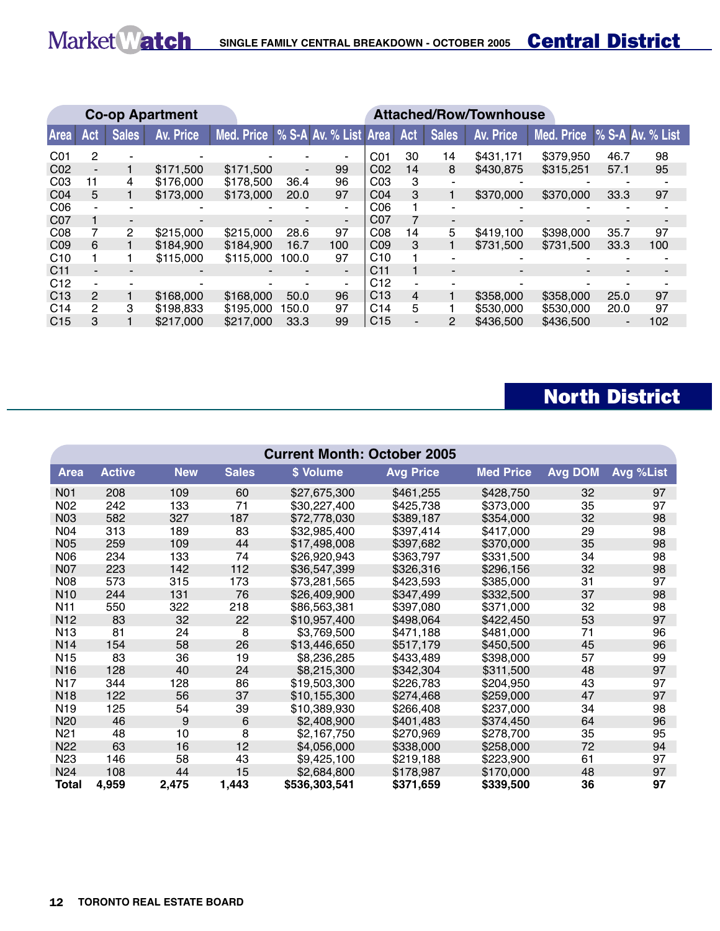|                 |                          |              | <b>Co-op Apartment</b> |                                    | <b>Attached/Row/Townhouse</b> |                |                 |     |                          |                  |            |                          |                  |  |
|-----------------|--------------------------|--------------|------------------------|------------------------------------|-------------------------------|----------------|-----------------|-----|--------------------------|------------------|------------|--------------------------|------------------|--|
| Area            | Act                      | <b>Sales</b> | Av. Price              | Med. Price   % S-A Av. % List Area |                               |                |                 | Act | <b>Sales</b>             | <b>Av. Price</b> | Med. Price |                          | % S-A Av. % List |  |
| CO <sub>1</sub> | 2                        |              |                        |                                    |                               |                | CO <sub>1</sub> | 30  | 14                       | \$431,171        | \$379,950  | 46.7                     | 98               |  |
| C <sub>02</sub> | $\overline{\phantom{0}}$ |              | \$171,500              | \$171,500                          | $\overline{\phantom{a}}$      | 99             | CO <sub>2</sub> | 14  | 8                        | \$430,875        | \$315.251  | 57.1                     | 95               |  |
| CO <sub>3</sub> | 11                       | 4            | \$176,000              | \$178,500                          | 36.4                          | 96             | CO <sub>3</sub> | з   |                          |                  |            |                          |                  |  |
| CO <sub>4</sub> | 5.                       |              | \$173,000              | \$173,000                          | 20.0                          | 97             | CO <sub>4</sub> | 3   |                          | \$370,000        | \$370,000  | 33.3                     | 97               |  |
| C <sub>06</sub> |                          |              |                        |                                    |                               | ۰.             | C <sub>06</sub> |     |                          |                  |            |                          |                  |  |
| C07             |                          |              |                        |                                    |                               | $\blacksquare$ | C07             |     |                          |                  |            |                          |                  |  |
| CO8             |                          | 2            | \$215,000              | \$215,000                          | 28.6                          | 97             | CO8             | 14  | 5                        | \$419,100        | \$398,000  | 35.7                     | 97               |  |
| CO9             | 6                        |              | \$184,900              | \$184,900                          | 16.7                          | 100            | CO <sub>9</sub> | 3   |                          | \$731,500        | \$731,500  | 33.3                     | 100              |  |
| C10             |                          |              | \$115,000              | \$115,000                          | 100.0                         | 97             | C10             |     | $\overline{\phantom{0}}$ |                  |            |                          |                  |  |
| C <sub>11</sub> |                          |              |                        |                                    |                               | $\blacksquare$ | C11             |     |                          | -                |            |                          |                  |  |
| C <sub>12</sub> |                          |              |                        |                                    |                               |                | C12             |     |                          |                  |            |                          |                  |  |
| C <sub>13</sub> | $\overline{2}$           |              | \$168,000              | \$168,000                          | 50.0                          | 96             | C <sub>13</sub> | 4   |                          | \$358,000        | \$358,000  | 25.0                     | 97               |  |
| C <sub>14</sub> | 2                        | 3            | \$198,833              | \$195,000                          | 150.0                         | 97             | C <sub>14</sub> | 5   |                          | \$530,000        | \$530,000  | 20.0                     | 97               |  |
| C15             | 3                        |              | \$217,000              | \$217,000                          | 33.3                          | 99             | C <sub>15</sub> |     | 2                        | \$436,500        | \$436,500  | $\overline{\phantom{a}}$ | 102              |  |

# North District

|                  | <b>Current Month: October 2005</b> |            |              |               |                  |                  |                |           |  |  |  |  |  |
|------------------|------------------------------------|------------|--------------|---------------|------------------|------------------|----------------|-----------|--|--|--|--|--|
| <b>Area</b>      | <b>Active</b>                      | <b>New</b> | <b>Sales</b> | \$ Volume     | <b>Avg Price</b> | <b>Med Price</b> | <b>Avg DOM</b> | Avg %List |  |  |  |  |  |
| N <sub>0</sub> 1 | 208                                | 109        | 60           | \$27,675,300  | \$461,255        | \$428,750        | 32             | 97        |  |  |  |  |  |
| N <sub>02</sub>  | 242                                | 133        | 71           | \$30,227,400  | \$425,738        | \$373,000        | 35             | 97        |  |  |  |  |  |
| N03              | 582                                | 327        | 187          | \$72,778,030  | \$389,187        | \$354,000        | 32             | 98        |  |  |  |  |  |
| N04              | 313                                | 189        | 83           | \$32,985,400  | \$397,414        | \$417,000        | 29             | 98        |  |  |  |  |  |
| <b>N05</b>       | 259                                | 109        | 44           | \$17,498,008  | \$397,682        | \$370,000        | 35             | 98        |  |  |  |  |  |
| N06              | 234                                | 133        | 74           | \$26,920,943  | \$363,797        | \$331,500        | 34             | 98        |  |  |  |  |  |
| N07              | 223                                | 142        | 112          | \$36,547,399  | \$326,316        | \$296,156        | 32             | 98        |  |  |  |  |  |
| <b>N08</b>       | 573                                | 315        | 173          | \$73,281,565  | \$423,593        | \$385,000        | 31             | 97        |  |  |  |  |  |
| N <sub>10</sub>  | 244                                | 131        | 76           | \$26,409,900  | \$347,499        | \$332,500        | 37             | 98        |  |  |  |  |  |
| N <sub>11</sub>  | 550                                | 322        | 218          | \$86,563,381  | \$397,080        | \$371,000        | 32             | 98        |  |  |  |  |  |
| N <sub>12</sub>  | 83                                 | 32         | 22           | \$10,957,400  | \$498,064        | \$422,450        | 53             | 97        |  |  |  |  |  |
| N <sub>13</sub>  | 81                                 | 24         | 8            | \$3,769,500   | \$471,188        | \$481,000        | 71             | 96        |  |  |  |  |  |
| N <sub>14</sub>  | 154                                | 58         | 26           | \$13,446,650  | \$517,179        | \$450,500        | 45             | 96        |  |  |  |  |  |
| N <sub>15</sub>  | 83                                 | 36         | 19           | \$8,236,285   | \$433,489        | \$398,000        | 57             | 99        |  |  |  |  |  |
| N <sub>16</sub>  | 128                                | 40         | 24           | \$8,215,300   | \$342,304        | \$311,500        | 48             | 97        |  |  |  |  |  |
| <b>N17</b>       | 344                                | 128        | 86           | \$19,503,300  | \$226,783        | \$204,950        | 43             | 97        |  |  |  |  |  |
| N <sub>18</sub>  | 122                                | 56         | 37           | \$10,155,300  | \$274,468        | \$259,000        | 47             | 97        |  |  |  |  |  |
| N <sub>19</sub>  | 125                                | 54         | 39           | \$10,389,930  | \$266,408        | \$237,000        | 34             | 98        |  |  |  |  |  |
| N <sub>20</sub>  | 46                                 | 9          | 6            | \$2,408,900   | \$401,483        | \$374,450        | 64             | 96        |  |  |  |  |  |
| N <sub>21</sub>  | 48                                 | 10         | 8            | \$2,167,750   | \$270,969        | \$278,700        | 35             | 95        |  |  |  |  |  |
| N <sub>22</sub>  | 63                                 | 16         | 12           | \$4,056,000   | \$338,000        | \$258,000        | 72             | 94        |  |  |  |  |  |
| N <sub>23</sub>  | 146                                | 58         | 43           | \$9,425,100   | \$219,188        | \$223,900        | 61             | 97        |  |  |  |  |  |
| N <sub>24</sub>  | 108                                | 44         | 15           | \$2,684,800   | \$178,987        | \$170,000        | 48             | 97        |  |  |  |  |  |
| Total            | 4,959                              | 2,475      | 1,443        | \$536,303,541 | \$371,659        | \$339,500        | 36             | 97        |  |  |  |  |  |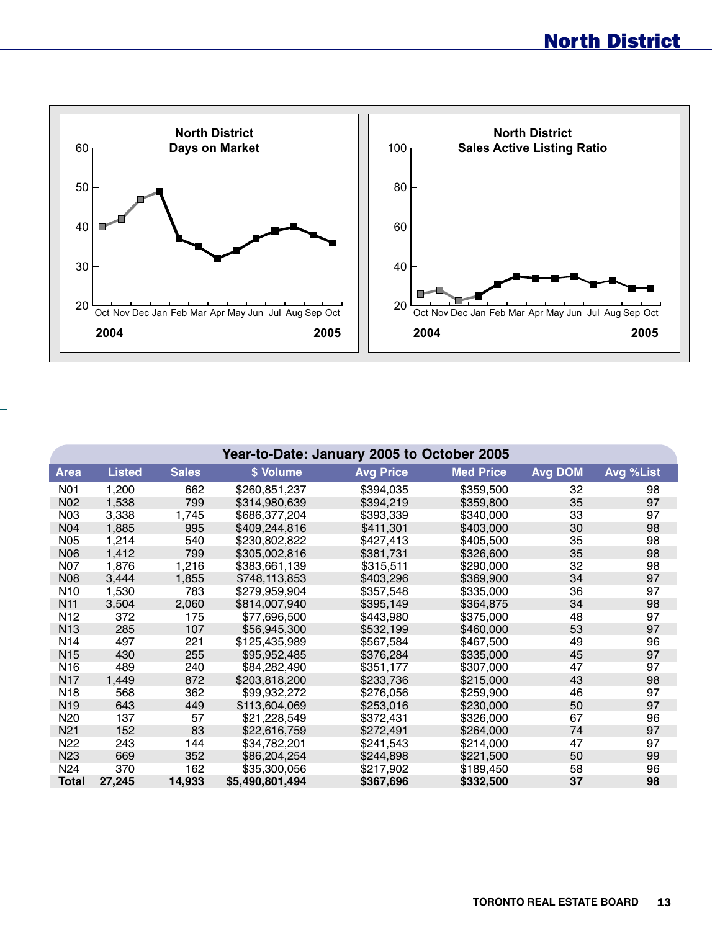

|                 | Year-to-Date: January 2005 to October 2005 |              |                 |                  |                  |                |           |  |  |  |  |  |  |
|-----------------|--------------------------------------------|--------------|-----------------|------------------|------------------|----------------|-----------|--|--|--|--|--|--|
| <b>Area</b>     | <b>Listed</b>                              | <b>Sales</b> | \$ Volume       | <b>Avg Price</b> | <b>Med Price</b> | <b>Avg DOM</b> | Avg %List |  |  |  |  |  |  |
| <b>N01</b>      | 1,200                                      | 662          | \$260,851,237   | \$394,035        | \$359,500        | 32             | 98        |  |  |  |  |  |  |
| N <sub>02</sub> | 1,538                                      | 799          | \$314,980,639   | \$394,219        | \$359,800        | 35             | 97        |  |  |  |  |  |  |
| N <sub>03</sub> | 3,338                                      | 1,745        | \$686,377,204   | \$393,339        | \$340,000        | 33             | 97        |  |  |  |  |  |  |
| N <sub>04</sub> | 1,885                                      | 995          | \$409,244,816   | \$411,301        | \$403,000        | 30             | 98        |  |  |  |  |  |  |
| N05             | 1,214                                      | 540          | \$230,802,822   | \$427,413        | \$405,500        | 35             | 98        |  |  |  |  |  |  |
| N06             | 1,412                                      | 799          | \$305,002,816   | \$381,731        | \$326,600        | 35             | 98        |  |  |  |  |  |  |
| N07             | 1,876                                      | 1,216        | \$383,661,139   | \$315,511        | \$290,000        | 32             | 98        |  |  |  |  |  |  |
| <b>N08</b>      | 3,444                                      | 1,855        | \$748,113,853   | \$403,296        | \$369,900        | 34             | 97        |  |  |  |  |  |  |
| N <sub>10</sub> | 1,530                                      | 783          | \$279,959,904   | \$357,548        | \$335,000        | 36             | 97        |  |  |  |  |  |  |
| N <sub>11</sub> | 3,504                                      | 2,060        | \$814,007,940   | \$395,149        | \$364,875        | 34             | 98        |  |  |  |  |  |  |
| N <sub>12</sub> | 372                                        | 175          | \$77,696,500    | \$443,980        | \$375,000        | 48             | 97        |  |  |  |  |  |  |
| N <sub>13</sub> | 285                                        | 107          | \$56,945,300    | \$532,199        | \$460,000        | 53             | 97        |  |  |  |  |  |  |
| N <sub>14</sub> | 497                                        | 221          | \$125,435,989   | \$567,584        | \$467,500        | 49             | 96        |  |  |  |  |  |  |
| N <sub>15</sub> | 430                                        | 255          | \$95,952,485    | \$376,284        | \$335,000        | 45             | 97        |  |  |  |  |  |  |
| N <sub>16</sub> | 489                                        | 240          | \$84,282,490    | \$351,177        | \$307,000        | 47             | 97        |  |  |  |  |  |  |
| <b>N17</b>      | 1,449                                      | 872          | \$203,818,200   | \$233,736        | \$215,000        | 43             | 98        |  |  |  |  |  |  |
| N <sub>18</sub> | 568                                        | 362          | \$99,932,272    | \$276,056        | \$259,900        | 46             | 97        |  |  |  |  |  |  |
| N <sub>19</sub> | 643                                        | 449          | \$113,604,069   | \$253,016        | \$230,000        | 50             | 97        |  |  |  |  |  |  |
| N <sub>20</sub> | 137                                        | 57           | \$21,228,549    | \$372,431        | \$326,000        | 67             | 96        |  |  |  |  |  |  |
| N <sub>21</sub> | 152                                        | 83           | \$22,616,759    | \$272,491        | \$264,000        | 74             | 97        |  |  |  |  |  |  |
| N <sub>22</sub> | 243                                        | 144          | \$34,782,201    | \$241,543        | \$214,000        | 47             | 97        |  |  |  |  |  |  |
| N <sub>23</sub> | 669                                        | 352          | \$86,204,254    | \$244,898        | \$221,500        | 50             | 99        |  |  |  |  |  |  |
| N <sub>24</sub> | 370                                        | 162          | \$35,300,056    | \$217,902        | \$189,450        | 58             | 96        |  |  |  |  |  |  |
| <b>Total</b>    | 27,245                                     | 14,933       | \$5,490,801,494 | \$367,696        | \$332,500        | 37             | 98        |  |  |  |  |  |  |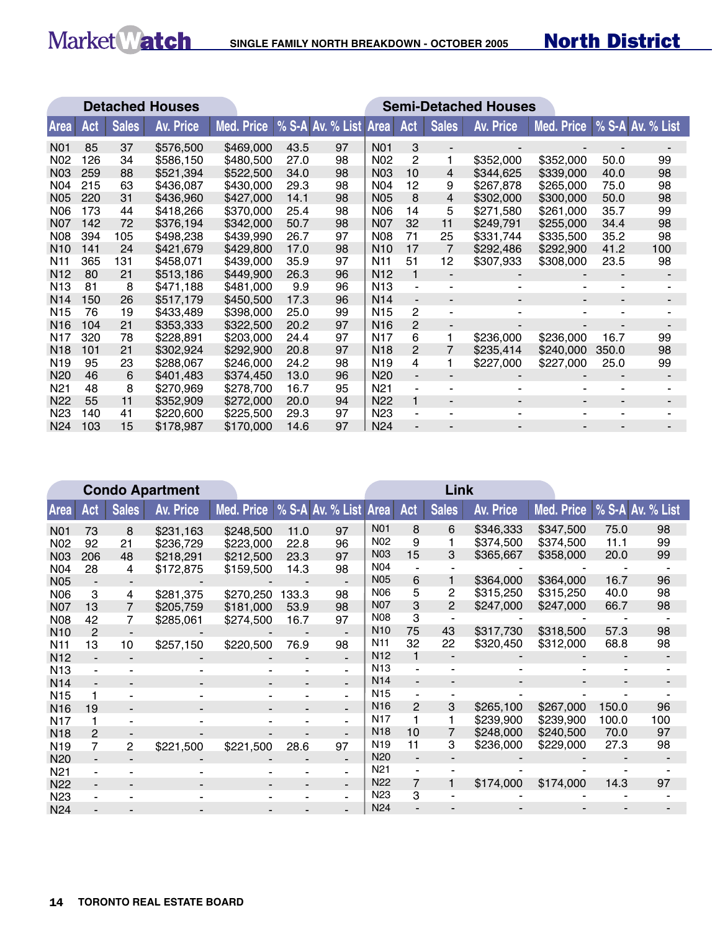# Market Match SINGLE FAMILY NORTH BREAKDOWN - OCTOBER 2005

# North District

 $\mathbb{R}^2$ 

|                 |     |              | <b>Detached Houses</b> | <b>Semi-Detached Houses</b>        |      |    |                  |                |                          |                  |            |       |                  |  |
|-----------------|-----|--------------|------------------------|------------------------------------|------|----|------------------|----------------|--------------------------|------------------|------------|-------|------------------|--|
| Area            | Act | <b>Sales</b> | <b>Av. Price</b>       | Med. Price   % S-A Av. % List Area |      |    |                  | Act            | <b>Sales</b>             | <b>Av. Price</b> | Med. Price |       | % S-A Av. % List |  |
| <b>N01</b>      | 85  | 37           | \$576,500              | \$469,000                          | 43.5 | 97 | <b>N01</b>       | 3              |                          |                  |            |       |                  |  |
| N <sub>02</sub> | 126 | 34           | \$586,150              | \$480,500                          | 27.0 | 98 | N <sub>02</sub>  | 2              | 1                        | \$352,000        | \$352,000  | 50.0  | 99               |  |
| N <sub>03</sub> | 259 | 88           | \$521,394              | \$522,500                          | 34.0 | 98 | N <sub>03</sub>  | 10             | 4                        | \$344.625        | \$339,000  | 40.0  | 98               |  |
| N04             | 215 | 63           | \$436,087              | \$430,000                          | 29.3 | 98 | N04              | 12             | 9                        | \$267,878        | \$265,000  | 75.0  | 98               |  |
| <b>N05</b>      | 220 | 31           | \$436,960              | \$427,000                          | 14.1 | 98 | <b>N05</b>       | 8              | 4                        | \$302,000        | \$300,000  | 50.0  | 98               |  |
| <b>N06</b>      | 173 | 44           | \$418,266              | \$370,000                          | 25.4 | 98 | N06              | 14             | 5                        | \$271,580        | \$261,000  | 35.7  | 99               |  |
| N07             | 142 | 72           | \$376,194              | \$342,000                          | 50.7 | 98 | N <sub>0</sub> 7 | 32             | 11                       | \$249,791        | \$255,000  | 34.4  | 98               |  |
| <b>N08</b>      | 394 | 105          | \$498,238              | \$439,990                          | 26.7 | 97 | <b>N08</b>       | 71             | 25                       | \$331.744        | \$335,500  | 35.2  | 98               |  |
| N <sub>10</sub> | 141 | 24           | \$421,679              | \$429,800                          | 17.0 | 98 | N <sub>10</sub>  | 17             | 7                        | \$292,486        | \$292,900  | 41.2  | 100              |  |
| N <sub>11</sub> | 365 | 131          | \$458,071              | \$439,000                          | 35.9 | 97 | N <sub>11</sub>  | 51             | 12                       | \$307,933        | \$308,000  | 23.5  | 98               |  |
| N <sub>12</sub> | 80  | 21           | \$513,186              | \$449,900                          | 26.3 | 96 | N <sub>12</sub>  | 1              | $\blacksquare$           |                  |            |       |                  |  |
| N <sub>13</sub> | 81  | 8            | \$471,188              | \$481,000                          | 9.9  | 96 | N <sub>13</sub>  | $\blacksquare$ | $\blacksquare$           | ۰                |            |       |                  |  |
| N <sub>14</sub> | 150 | 26           | \$517,179              | \$450,500                          | 17.3 | 96 | N <sub>14</sub>  | $\blacksquare$ |                          |                  |            |       |                  |  |
| N <sub>15</sub> | 76  | 19           | \$433,489              | \$398,000                          | 25.0 | 99 | N <sub>15</sub>  | $\overline{c}$ |                          |                  |            |       |                  |  |
| N <sub>16</sub> | 104 | 21           | \$353,333              | \$322,500                          | 20.2 | 97 | N <sub>16</sub>  | $\overline{2}$ | $\overline{\phantom{a}}$ |                  |            |       |                  |  |
| N <sub>17</sub> | 320 | 78           | \$228,891              | \$203,000                          | 24.4 | 97 | N <sub>17</sub>  | 6              | 1                        | \$236,000        | \$236,000  | 16.7  | 99               |  |
| N <sub>18</sub> | 101 | 21           | \$302,924              | \$292,900                          | 20.8 | 97 | N <sub>18</sub>  | $\overline{2}$ | 7                        | \$235,414        | \$240,000  | 350.0 | 98               |  |
| N <sub>19</sub> | 95  | 23           | \$288,067              | \$246,000                          | 24.2 | 98 | N <sub>19</sub>  | 4              | 1                        | \$227,000        | \$227,000  | 25.0  | 99               |  |
| N <sub>20</sub> | 46  | 6            | \$401,483              | \$374,450                          | 13.0 | 96 | N <sub>20</sub>  |                |                          |                  |            |       |                  |  |
| N <sub>21</sub> | 48  | 8            | \$270,969              | \$278,700                          | 16.7 | 95 | N <sub>21</sub>  | $\blacksquare$ |                          |                  |            |       |                  |  |
| N <sub>22</sub> | 55  | 11           | \$352,909              | \$272,000                          | 20.0 | 94 | N <sub>22</sub>  | $\mathbf{1}$   | $\overline{\phantom{a}}$ | -                |            |       |                  |  |
| N <sub>23</sub> | 140 | 41           | \$220,600              | \$225,500                          | 29.3 | 97 | N <sub>23</sub>  | $\blacksquare$ | ۰                        | ۰                |            |       |                  |  |
| N24             | 103 | 15           | \$178,987              | \$170,000                          | 14.6 | 97 | N <sub>24</sub>  |                |                          |                  |            |       |                  |  |

|                 | <b>Condo Apartment</b> |                |                  |                                    |       |                          |                 |     | Link           |           |            |       |                  |
|-----------------|------------------------|----------------|------------------|------------------------------------|-------|--------------------------|-----------------|-----|----------------|-----------|------------|-------|------------------|
| <b>Area</b>     | Act                    | <b>Sales</b>   | <b>Av. Price</b> | Med. Price   % S-A Av. % List Area |       |                          |                 | Act | Sales          | Av. Price | Med. Price |       | % S-A Av. % List |
| <b>N01</b>      | 73                     | 8              | \$231,163        | \$248,500                          | 11.0  | 97                       | <b>N01</b>      | 8   | 6              | \$346,333 | \$347,500  | 75.0  | 98               |
| N <sub>02</sub> | 92                     | 21             | \$236,729        | \$223,000                          | 22.8  | 96                       | N <sub>02</sub> | 9   |                | \$374,500 | \$374,500  | 11.1  | 99               |
| N03             | 206                    | 48             | \$218,291        | \$212,500                          | 23.3  | 97                       | <b>N03</b>      | 15  | 3              | \$365,667 | \$358,000  | 20.0  | 99               |
| N04             | 28                     | 4              | \$172,875        | \$159,500                          | 14.3  | 98                       | N <sub>04</sub> |     |                |           |            |       |                  |
| <b>N05</b>      |                        |                |                  |                                    |       |                          | <b>N05</b>      | 6   |                | \$364,000 | \$364,000  | 16.7  | 96               |
| <b>N06</b>      | 3                      | 4              | \$281,375        | \$270,250                          | 133.3 | 98                       | N06             | 5   | $\overline{2}$ | \$315,250 | \$315,250  | 40.0  | 98               |
| <b>N07</b>      | 13                     | 7              | \$205,759        | \$181,000                          | 53.9  | 98                       | <b>N07</b>      | 3   | $\overline{2}$ | \$247,000 | \$247,000  | 66.7  | 98               |
| <b>N08</b>      | 42                     | 7              | \$285,061        | \$274,500                          | 16.7  | 97                       | <b>N08</b>      | 3   |                |           |            |       |                  |
| N <sub>10</sub> | $\mathbf{P}$           |                |                  |                                    |       |                          | N <sub>10</sub> | 75  | 43             | \$317,730 | \$318,500  | 57.3  | 98               |
| N <sub>11</sub> | 13                     | 10             | \$257,150        | \$220,500                          | 76.9  | 98                       | N <sub>11</sub> | 32  | 22             | \$320,450 | \$312,000  | 68.8  | 98               |
| N <sub>12</sub> |                        |                |                  |                                    |       |                          | N <sub>12</sub> |     |                |           |            |       |                  |
| N <sub>13</sub> |                        |                |                  |                                    | ۰     | -                        | N <sub>13</sub> |     |                |           |            |       |                  |
| N <sub>14</sub> |                        |                |                  |                                    |       | -                        | N <sub>14</sub> |     |                |           |            |       |                  |
| N <sub>15</sub> |                        |                |                  |                                    |       | -                        | N <sub>15</sub> |     |                |           |            |       |                  |
| N <sub>16</sub> | 19                     |                |                  |                                    |       | $\overline{\phantom{a}}$ | N <sub>16</sub> | 2   | 3              | \$265,100 | \$267,000  | 150.0 | 96               |
| N <sub>17</sub> |                        |                |                  |                                    |       |                          | N <sub>17</sub> |     |                | \$239,900 | \$239,900  | 100.0 | 100              |
| <b>N18</b>      | $\mathbf{P}$           |                |                  |                                    |       | $\blacksquare$           | N <sub>18</sub> | 10  |                | \$248,000 | \$240,500  | 70.0  | 97               |
| N <sub>19</sub> | 7                      | $\overline{2}$ | \$221,500        | \$221,500                          | 28.6  | 97                       | N <sub>19</sub> | 11  | 3              | \$236,000 | \$229,000  | 27.3  | 98               |
| N <sub>20</sub> |                        |                |                  |                                    |       |                          | N <sub>20</sub> |     |                |           |            |       |                  |
| N <sub>21</sub> |                        |                |                  |                                    |       | -                        | N <sub>21</sub> |     |                |           |            |       |                  |
| N <sub>22</sub> |                        |                |                  |                                    |       | $\blacksquare$           | N <sub>22</sub> | 7   |                | \$174,000 | \$174,000  | 14.3  | 97               |
| N <sub>23</sub> |                        |                |                  |                                    |       |                          | N <sub>23</sub> | 3   |                |           |            |       |                  |
| N <sub>24</sub> |                        |                |                  |                                    |       |                          | N <sub>24</sub> |     |                |           |            |       |                  |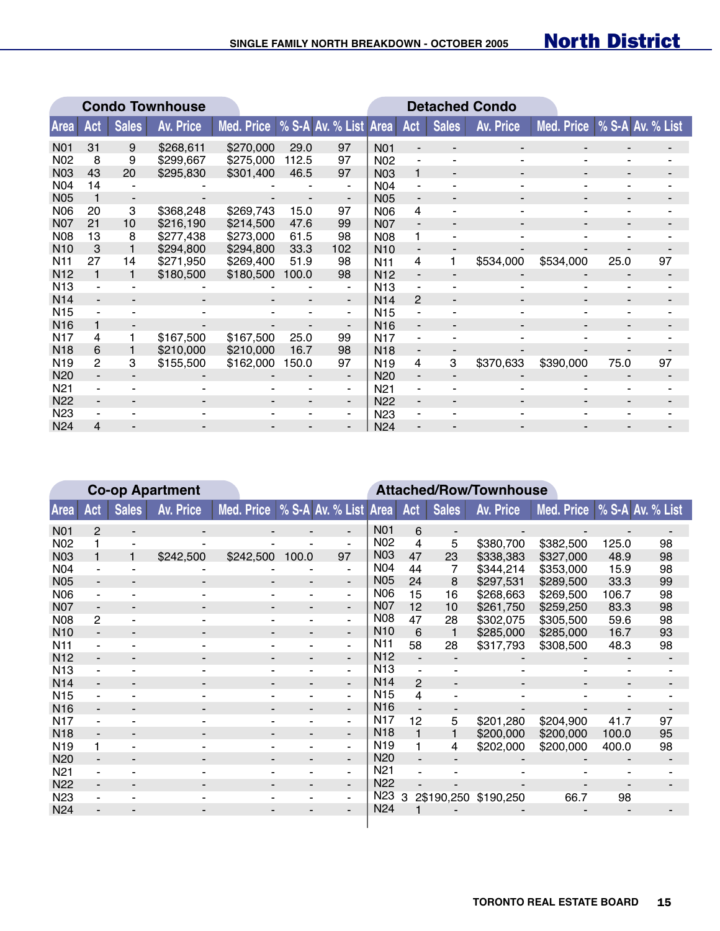$\mathbb{R}$ 

|                  | <b>Condo Townhouse</b> |              |                  |                                    |       |                              |                  |                          | <b>Detached Condo</b>        |                          |                               |      |    |
|------------------|------------------------|--------------|------------------|------------------------------------|-------|------------------------------|------------------|--------------------------|------------------------------|--------------------------|-------------------------------|------|----|
| <b>Area</b>      | Act                    | <b>Sales</b> | <b>Av. Price</b> | Med. Price   % S-A Av. % List Area |       |                              |                  | Act                      | <b>Sales</b>                 | <b>Av. Price</b>         | Med. Price   % S-A Av. % List |      |    |
| N <sub>0</sub> 1 | 31                     | 9            | \$268,611        | \$270,000                          | 29.0  | 97                           | N <sub>0</sub> 1 |                          |                              |                          |                               |      |    |
| N <sub>02</sub>  | 8                      | 9            | \$299,667        | \$275,000                          | 112.5 | 97                           | N <sub>02</sub>  |                          |                              |                          |                               |      |    |
| N <sub>0</sub> 3 | 43                     | 20           | \$295,830        | \$301,400                          | 46.5  | 97                           | <b>N03</b>       | 1                        | $\blacksquare$               |                          |                               |      |    |
| N <sub>04</sub>  | 14                     |              |                  |                                    |       |                              | N <sub>04</sub>  |                          |                              |                          |                               |      |    |
| <b>N05</b>       |                        |              |                  |                                    |       | $\overline{a}$               | <b>N05</b>       |                          |                              |                          |                               |      |    |
| <b>N06</b>       | 20                     | 3            | \$368,248        | \$269,743                          | 15.0  | 97                           | <b>N06</b>       | 4                        |                              |                          |                               |      |    |
| <b>N07</b>       | 21                     | 10           | \$216,190        | \$214,500                          | 47.6  | 99                           | <b>N07</b>       |                          | $\overline{\phantom{0}}$     | $\overline{\phantom{a}}$ |                               |      |    |
| N08              | 13                     | 8            | \$277,438        | \$273,000                          | 61.5  | 98                           | <b>N08</b>       | 1.                       | $\qquad \qquad \blacksquare$ |                          |                               |      |    |
| N <sub>10</sub>  | 3                      |              | \$294,800        | \$294,800                          | 33.3  | 102                          | N <sub>10</sub>  |                          |                              |                          |                               |      |    |
| N <sub>11</sub>  | 27                     | 14           | \$271,950        | \$269.400                          | 51.9  | 98                           | N <sub>11</sub>  | 4                        |                              | \$534,000                | \$534,000                     | 25.0 | 97 |
| N <sub>12</sub>  | 1                      |              | \$180,500        | \$180,500                          | 100.0 | 98                           | N <sub>12</sub>  |                          |                              |                          |                               |      |    |
| N <sub>13</sub>  |                        |              |                  |                                    |       | ٠                            | N <sub>13</sub>  |                          | $\blacksquare$               | ۰                        |                               |      |    |
| N <sub>14</sub>  |                        |              |                  |                                    |       | ٠                            | N <sub>14</sub>  | $\overline{2}$           | $\overline{\phantom{a}}$     |                          |                               |      |    |
| N <sub>15</sub>  |                        |              |                  |                                    |       | $\blacksquare$               | N <sub>15</sub>  |                          |                              |                          |                               |      |    |
| N <sub>16</sub>  | 1                      |              |                  |                                    |       | $\overline{\phantom{0}}$     | N <sub>16</sub>  |                          |                              |                          |                               |      |    |
| N <sub>17</sub>  | 4                      |              | \$167,500        | \$167,500                          | 25.0  | 99                           | N <sub>17</sub>  |                          |                              |                          |                               |      |    |
| N <sub>18</sub>  | 6                      |              | \$210,000        | \$210,000                          | 16.7  | 98                           | N <sub>18</sub>  | $\overline{\phantom{a}}$ | $\overline{\phantom{a}}$     |                          |                               |      |    |
| N <sub>19</sub>  | $\overline{2}$         | 3            | \$155,500        | \$162,000                          | 150.0 | 97                           | N <sub>19</sub>  | 4                        | 3                            | \$370,633                | \$390,000                     | 75.0 | 97 |
| N <sub>20</sub>  |                        |              |                  |                                    |       | $\qquad \qquad \blacksquare$ | N <sub>20</sub>  |                          |                              |                          |                               |      |    |
| N <sub>21</sub>  |                        |              |                  |                                    |       | $\blacksquare$               | N <sub>21</sub>  |                          |                              |                          |                               |      |    |
| N <sub>22</sub>  | $\blacksquare$         |              |                  |                                    |       | $\blacksquare$               | <b>N22</b>       | $\blacksquare$           |                              |                          |                               |      |    |
| N <sub>23</sub>  |                        |              |                  |                                    |       | $\sim$                       | N <sub>23</sub>  |                          |                              |                          |                               |      |    |
| N <sub>24</sub>  | 4                      |              |                  |                                    |       |                              | N <sub>24</sub>  |                          |                              |                          |                               |      |    |

|                 | <b>Co-op Apartment</b>   |                          |                  |                                  |                          | <b>Attached/Row/Townhouse</b> |                  |              |                          |                  |                             |       |    |  |  |
|-----------------|--------------------------|--------------------------|------------------|----------------------------------|--------------------------|-------------------------------|------------------|--------------|--------------------------|------------------|-----------------------------|-------|----|--|--|
| <b>Area</b>     | Act                      | <b>Sales</b>             | <b>Av. Price</b> | Med. Price % S-A Av. % List Area |                          |                               |                  | Act          | <b>Sales</b>             | <b>Av. Price</b> | Med. Price % S-A Av. % List |       |    |  |  |
| N01             | $\overline{2}$           | $\overline{\phantom{a}}$ |                  |                                  |                          | $\overline{\phantom{a}}$      | <b>N01</b>       | 6            |                          |                  |                             |       |    |  |  |
| N <sub>02</sub> |                          | ۰                        |                  |                                  |                          | -                             | <b>N02</b>       | 4            | 5                        | \$380,700        | \$382,500                   | 125.0 | 98 |  |  |
| N03             |                          | 1                        | \$242,500        | \$242,500                        | 100.0                    | 97                            | <b>N03</b>       | 47           | 23                       | \$338,383        | \$327,000                   | 48.9  | 98 |  |  |
| N <sub>04</sub> |                          |                          |                  |                                  |                          | $\blacksquare$                | <b>N04</b>       | 44           | 7                        | \$344,214        | \$353,000                   | 15.9  | 98 |  |  |
| <b>N05</b>      | $\overline{\phantom{a}}$ | $\blacksquare$           | $\blacksquare$   | $\overline{\phantom{a}}$         | $\overline{\phantom{a}}$ | $\overline{\phantom{a}}$      | <b>N05</b>       | 24           | 8                        | \$297,531        | \$289,500                   | 33.3  | 99 |  |  |
| <b>N06</b>      |                          |                          |                  |                                  |                          | ٠                             | <b>N06</b>       | 15           | 16                       | \$268,663        | \$269,500                   | 106.7 | 98 |  |  |
| <b>N07</b>      |                          |                          |                  |                                  |                          | $\blacksquare$                | N <sub>0</sub> 7 | 12           | 10                       | \$261,750        | \$259,250                   | 83.3  | 98 |  |  |
| <b>N08</b>      | $\overline{2}$           |                          |                  |                                  |                          | ٠                             | <b>N08</b>       | 47           | 28                       | \$302,075        | \$305,500                   | 59.6  | 98 |  |  |
| N <sub>10</sub> | $\overline{\phantom{a}}$ | $\blacksquare$           | $\blacksquare$   | -                                | $\blacksquare$           | $\overline{\phantom{a}}$      | N <sub>10</sub>  | 6            |                          | \$285,000        | \$285,000                   | 16.7  | 93 |  |  |
| N <sub>11</sub> |                          |                          |                  |                                  |                          | ٠                             | N <sub>11</sub>  | 58           | 28                       | \$317,793        | \$308,500                   | 48.3  | 98 |  |  |
| N <sub>12</sub> |                          |                          |                  |                                  |                          | $\blacksquare$                | N <sub>12</sub>  |              |                          |                  |                             |       |    |  |  |
| N <sub>13</sub> |                          |                          |                  |                                  |                          | $\blacksquare$                | N <sub>13</sub>  |              |                          |                  |                             |       |    |  |  |
| N <sub>14</sub> | $\blacksquare$           | $\overline{\phantom{a}}$ | $\blacksquare$   | ٠                                | $\overline{\phantom{a}}$ | $\overline{\phantom{a}}$      | N <sub>14</sub>  | $\mathbf{P}$ | $\overline{\phantom{m}}$ | ۰                |                             |       |    |  |  |
| N <sub>15</sub> |                          |                          |                  |                                  |                          | -                             | N <sub>15</sub>  | 4            | $\blacksquare$           |                  |                             |       |    |  |  |
| N <sub>16</sub> |                          |                          |                  |                                  |                          | $\blacksquare$                | N <sub>16</sub>  |              |                          |                  |                             |       |    |  |  |
| N <sub>17</sub> |                          |                          |                  |                                  |                          | $\blacksquare$                | N <sub>17</sub>  | 12           | 5                        | \$201,280        | \$204,900                   | 41.7  | 97 |  |  |
| N <sub>18</sub> | $\overline{\phantom{a}}$ | $\blacksquare$           |                  |                                  |                          | $\overline{\phantom{a}}$      | N <sub>18</sub>  | $\mathbf{1}$ |                          | \$200,000        | \$200,000                   | 100.0 | 95 |  |  |
| N <sub>19</sub> | 1                        |                          |                  |                                  |                          | -                             | N <sub>19</sub>  | 1            | 4                        | \$202,000        | \$200,000                   | 400.0 | 98 |  |  |
| N <sub>20</sub> |                          |                          |                  |                                  |                          | $\overline{\phantom{a}}$      | N <sub>20</sub>  |              |                          |                  |                             |       |    |  |  |
| N <sub>21</sub> | $\blacksquare$           |                          |                  |                                  |                          | ٠                             | N <sub>21</sub>  |              |                          |                  |                             |       |    |  |  |
| N <sub>22</sub> | $\overline{\phantom{a}}$ | $\overline{\phantom{a}}$ | $\blacksquare$   | $\overline{\phantom{a}}$         | $\blacksquare$           | $\blacksquare$                | N <sub>22</sub>  |              |                          |                  |                             |       |    |  |  |
| N <sub>23</sub> |                          |                          |                  |                                  |                          | $\blacksquare$                | N <sub>23</sub>  | 3            | 2\$190,250               | \$190,250        | 66.7                        | 98    |    |  |  |
| N <sub>24</sub> |                          |                          |                  |                                  |                          |                               | N <sub>24</sub>  |              |                          |                  |                             |       |    |  |  |
|                 |                          |                          |                  |                                  |                          |                               |                  |              |                          |                  |                             |       |    |  |  |